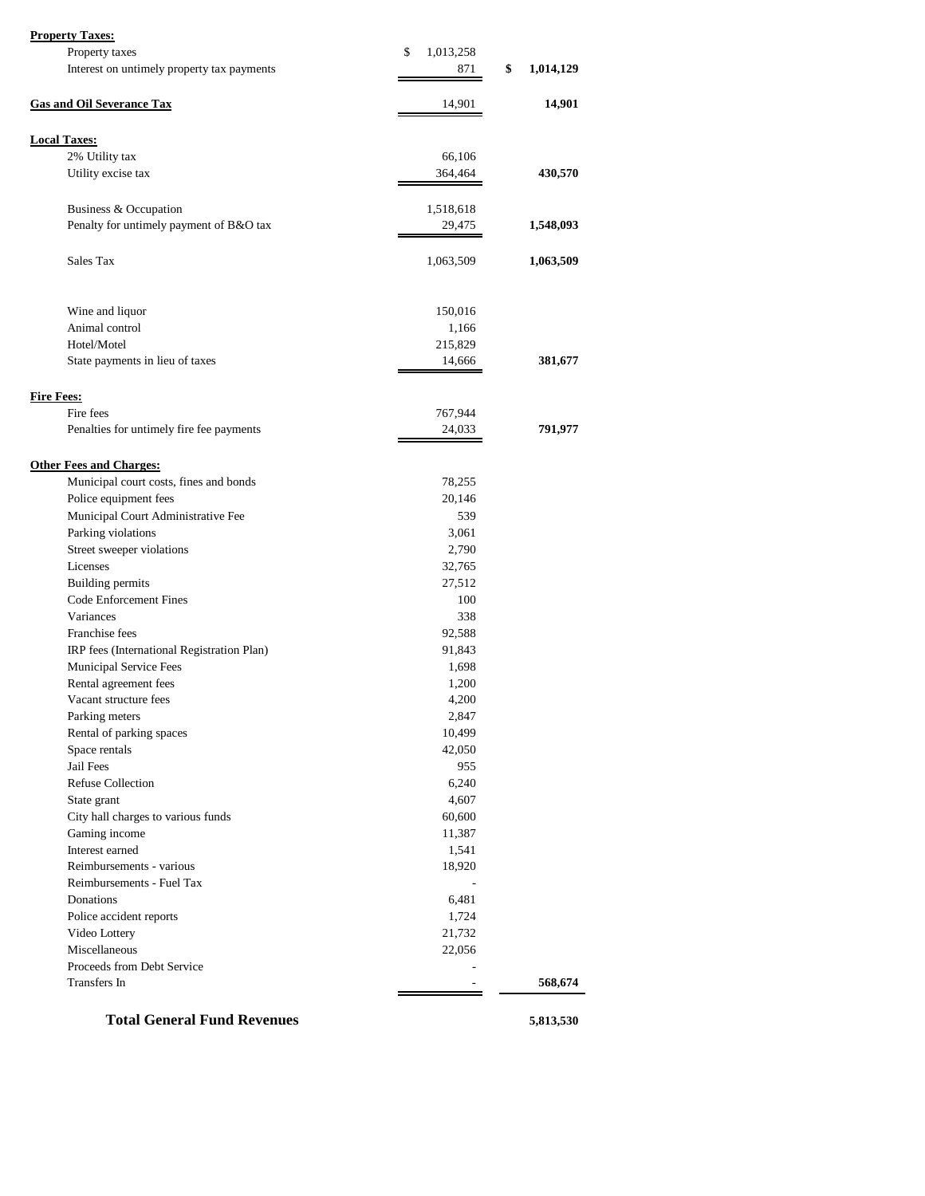|  | <b>Property Taxes:</b> |
|--|------------------------|
|  |                        |

| <b>Property Taxes:</b>                     |                 |                 |
|--------------------------------------------|-----------------|-----------------|
| Property taxes                             | \$<br>1,013,258 |                 |
| Interest on untimely property tax payments | 871             | \$<br>1,014,129 |
| <b>Gas and Oil Severance Tax</b>           | 14,901          | 14,901          |
|                                            |                 |                 |
| <b>Local Taxes:</b>                        |                 |                 |
| 2% Utility tax                             | 66,106          |                 |
| Utility excise tax                         | 364,464         | 430,570         |
| Business & Occupation                      | 1,518,618       |                 |
| Penalty for untimely payment of B&O tax    | 29,475          | 1,548,093       |
| Sales Tax                                  | 1,063,509       | 1,063,509       |
|                                            |                 |                 |
| Wine and liquor                            | 150,016         |                 |
| Animal control                             | 1,166           |                 |
| Hotel/Motel                                | 215,829         |                 |
| State payments in lieu of taxes            | 14,666          | 381,677         |
| <b>Fire Fees:</b>                          |                 |                 |
| Fire fees                                  | 767,944         |                 |
| Penalties for untimely fire fee payments   | 24,033          | 791,977         |
|                                            |                 |                 |
| <b>Other Fees and Charges:</b>             |                 |                 |
| Municipal court costs, fines and bonds     | 78,255          |                 |
| Police equipment fees                      | 20,146          |                 |
| Municipal Court Administrative Fee         | 539             |                 |
| Parking violations                         | 3,061           |                 |
| Street sweeper violations                  | 2,790           |                 |
| Licenses                                   | 32,765          |                 |
| Building permits                           | 27,512          |                 |
| <b>Code Enforcement Fines</b>              | 100             |                 |
| Variances                                  | 338             |                 |
| Franchise fees                             | 92,588          |                 |
| IRP fees (International Registration Plan) | 91,843          |                 |
| Municipal Service Fees                     | 1,698           |                 |
| Rental agreement fees                      | 1,200           |                 |
| Vacant structure fees                      | 4,200           |                 |
| Parking meters                             | 2,847           |                 |
| Rental of parking spaces                   | 10,499          |                 |
| Space rentals                              | 42,050          |                 |
| Jail Fees                                  | 955             |                 |
| <b>Refuse Collection</b>                   | 6,240           |                 |
| State grant                                | 4,607           |                 |
| City hall charges to various funds         | 60,600          |                 |
| Gaming income                              | 11,387          |                 |
| Interest earned                            | 1,541           |                 |
| Reimbursements - various                   | 18,920          |                 |
| Reimbursements - Fuel Tax                  |                 |                 |
| Donations                                  | 6,481           |                 |
| Police accident reports                    | 1,724           |                 |
| Video Lottery                              | 21,732          |                 |
| Miscellaneous                              | 22,056          |                 |
| Proceeds from Debt Service                 |                 |                 |
| Transfers In                               |                 | 568,674         |
|                                            |                 |                 |
| <b>Total General Fund Revenues</b>         |                 | 5,813,530       |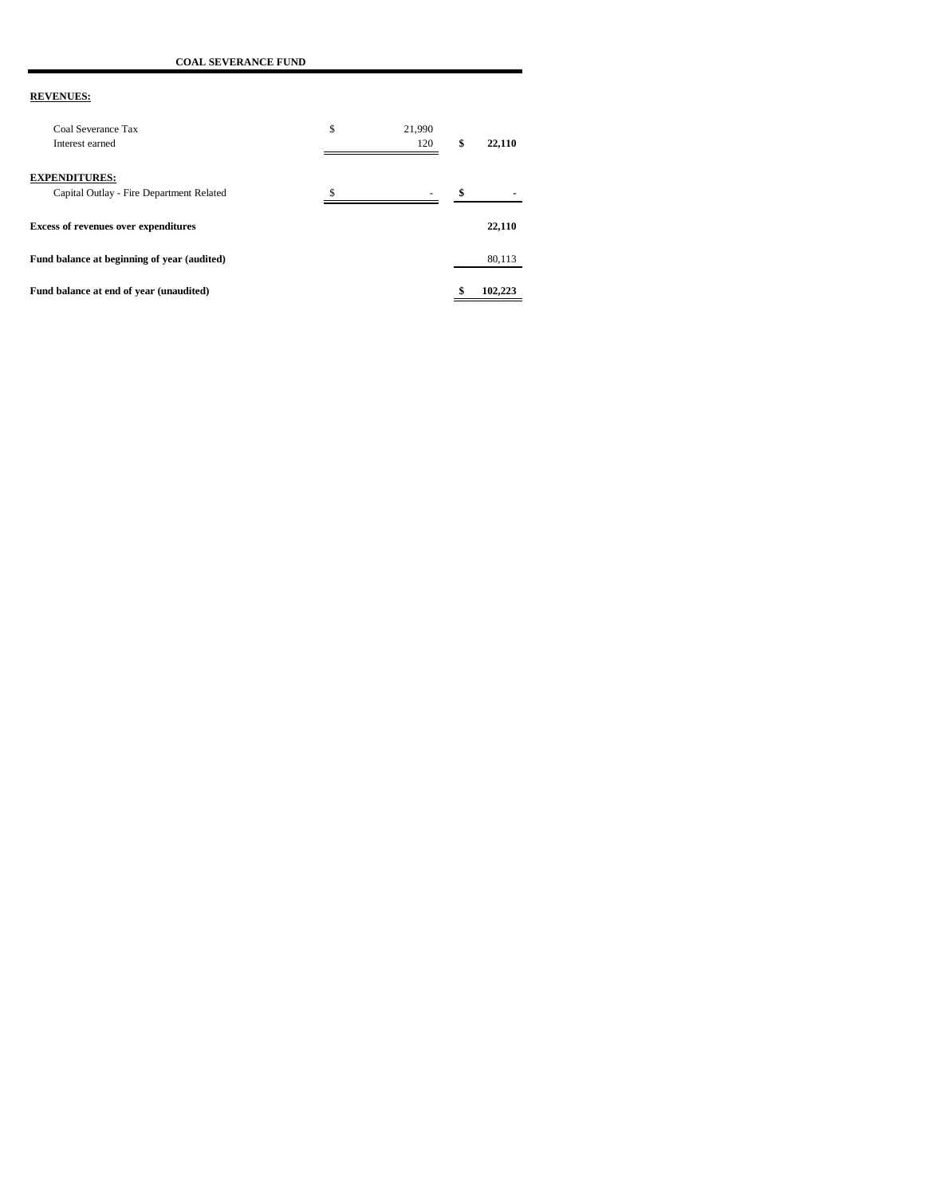**COAL SEVERANCE FUND**

| Coal Severance Tax<br>Interest earned                            | \$<br>21.990<br>120 | \$<br>22,110 |
|------------------------------------------------------------------|---------------------|--------------|
| <b>EXPENDITURES:</b><br>Capital Outlay - Fire Department Related |                     | \$           |
| <b>Excess of revenues over expenditures</b>                      |                     | 22,110       |
| Fund balance at beginning of year (audited)                      |                     | 80,113       |
| Fund balance at end of year (unaudited)                          |                     | 102.223      |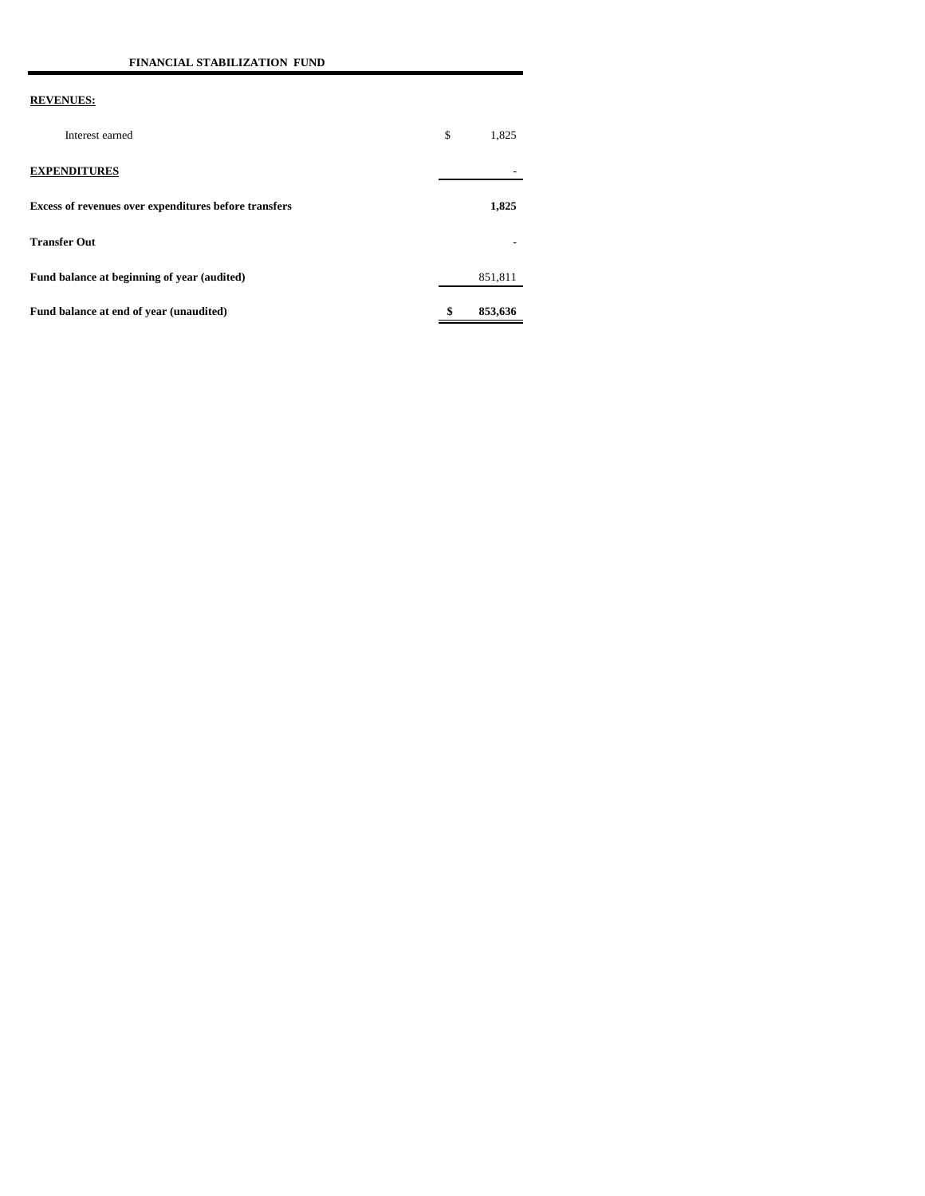| Interest earned                                       | \$<br>1,825   |
|-------------------------------------------------------|---------------|
| <b>EXPENDITURES</b>                                   |               |
| Excess of revenues over expenditures before transfers | 1,825         |
| <b>Transfer Out</b>                                   |               |
| Fund balance at beginning of year (audited)           | 851,811       |
| Fund balance at end of year (unaudited)               | \$<br>853,636 |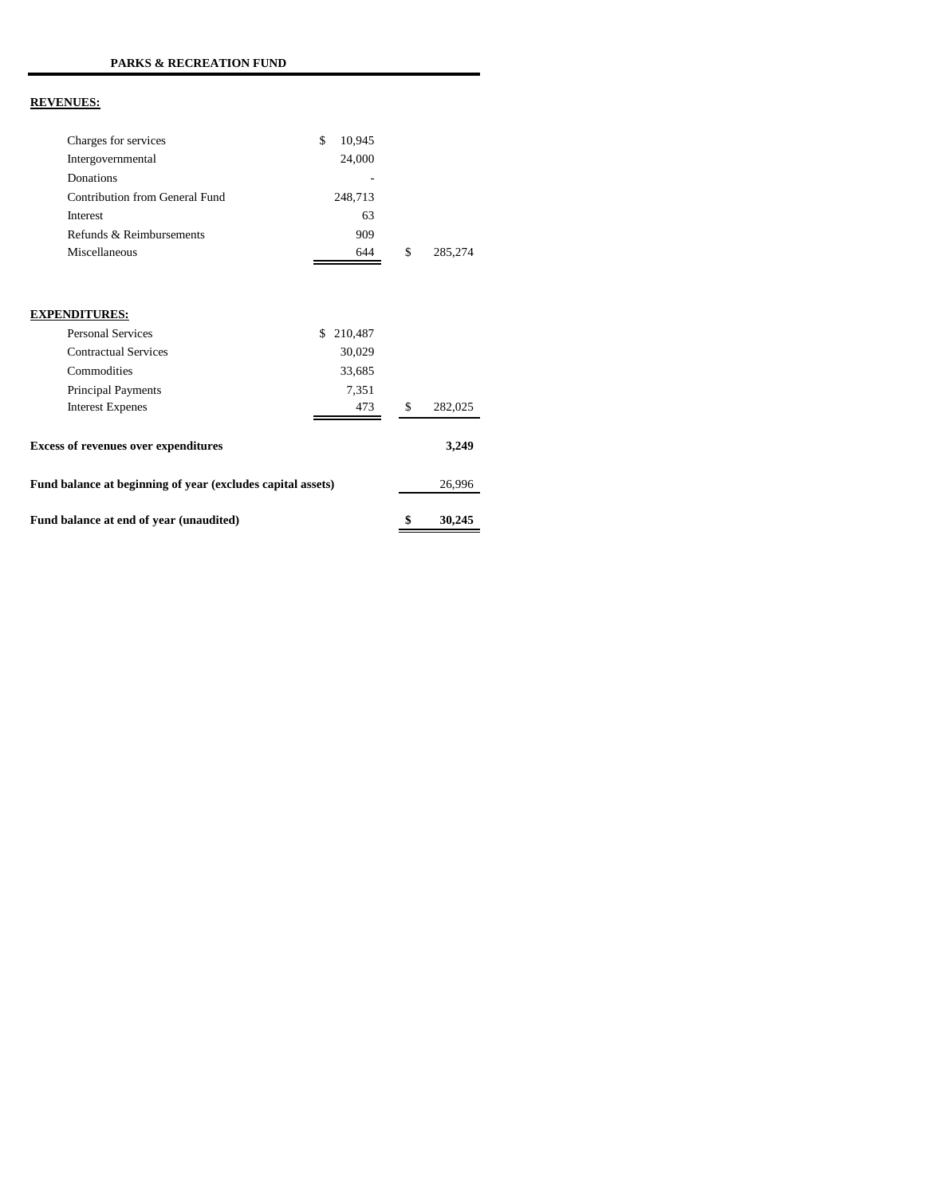| Charges for services                                        | \$<br>10,945  |               |
|-------------------------------------------------------------|---------------|---------------|
| Intergovernmental                                           | 24,000        |               |
| Donations                                                   |               |               |
| Contribution from General Fund                              | 248,713       |               |
| Interest                                                    | 63            |               |
| Refunds & Reimbursements                                    | 909           |               |
| Miscellaneous                                               | 644           | \$<br>285,274 |
|                                                             |               |               |
| <b>EXPENDITURES:</b>                                        |               |               |
| <b>Personal Services</b>                                    | \$<br>210,487 |               |
| <b>Contractual Services</b>                                 | 30,029        |               |
| Commodities                                                 | 33,685        |               |
| Principal Payments                                          | 7,351         |               |
| <b>Interest Expenes</b>                                     | 473           | \$<br>282,025 |
| <b>Excess of revenues over expenditures</b>                 |               | 3,249         |
| Fund balance at beginning of year (excludes capital assets) |               | 26,996        |
| Fund balance at end of year (unaudited)                     |               | \$<br>30,245  |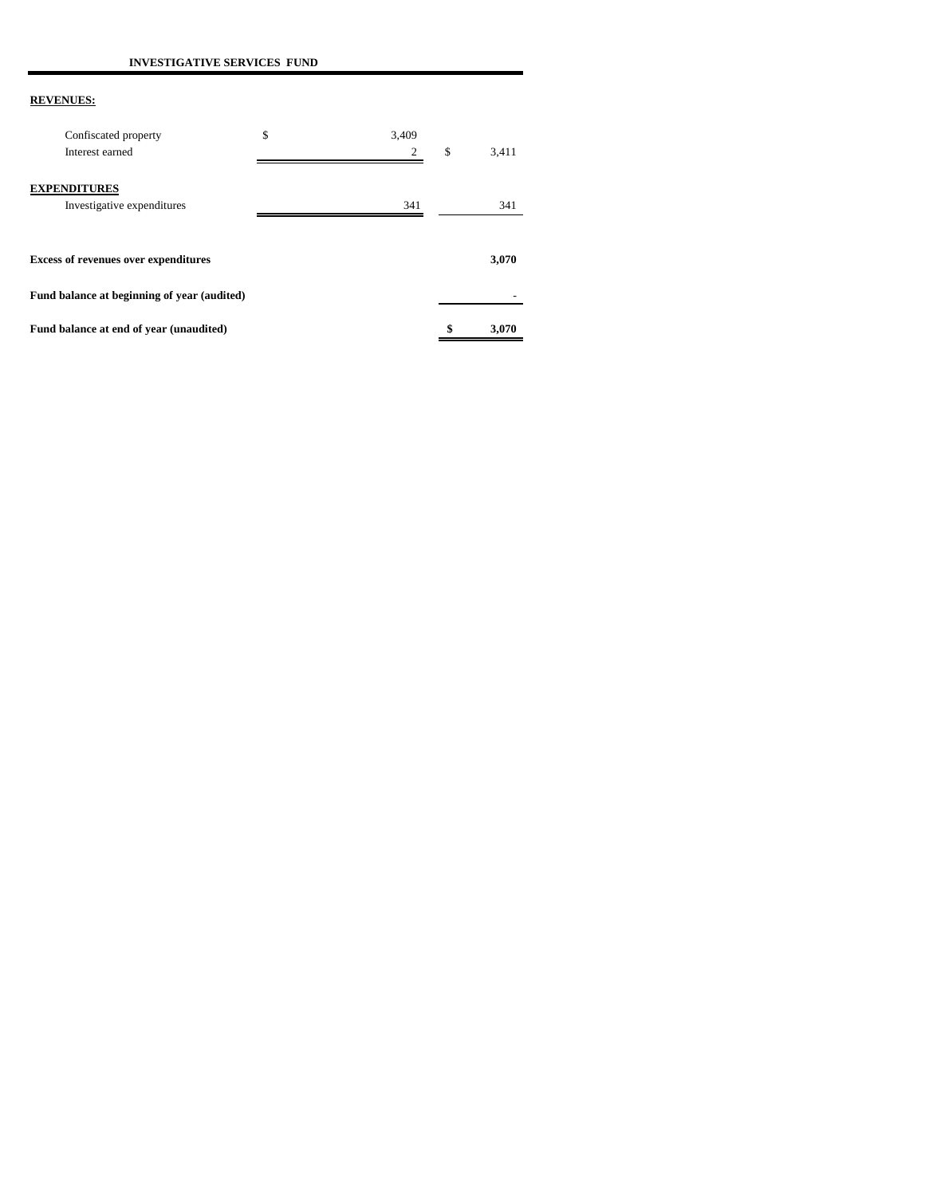| Confiscated property<br>Interest earned           | \$<br>3.409<br>2 | \$<br>3,411 |
|---------------------------------------------------|------------------|-------------|
| <b>EXPENDITURES</b><br>Investigative expenditures | 341              | 341         |
| <b>Excess of revenues over expenditures</b>       |                  | 3,070       |
| Fund balance at beginning of year (audited)       |                  |             |
| Fund balance at end of year (unaudited)           |                  | \$<br>3,070 |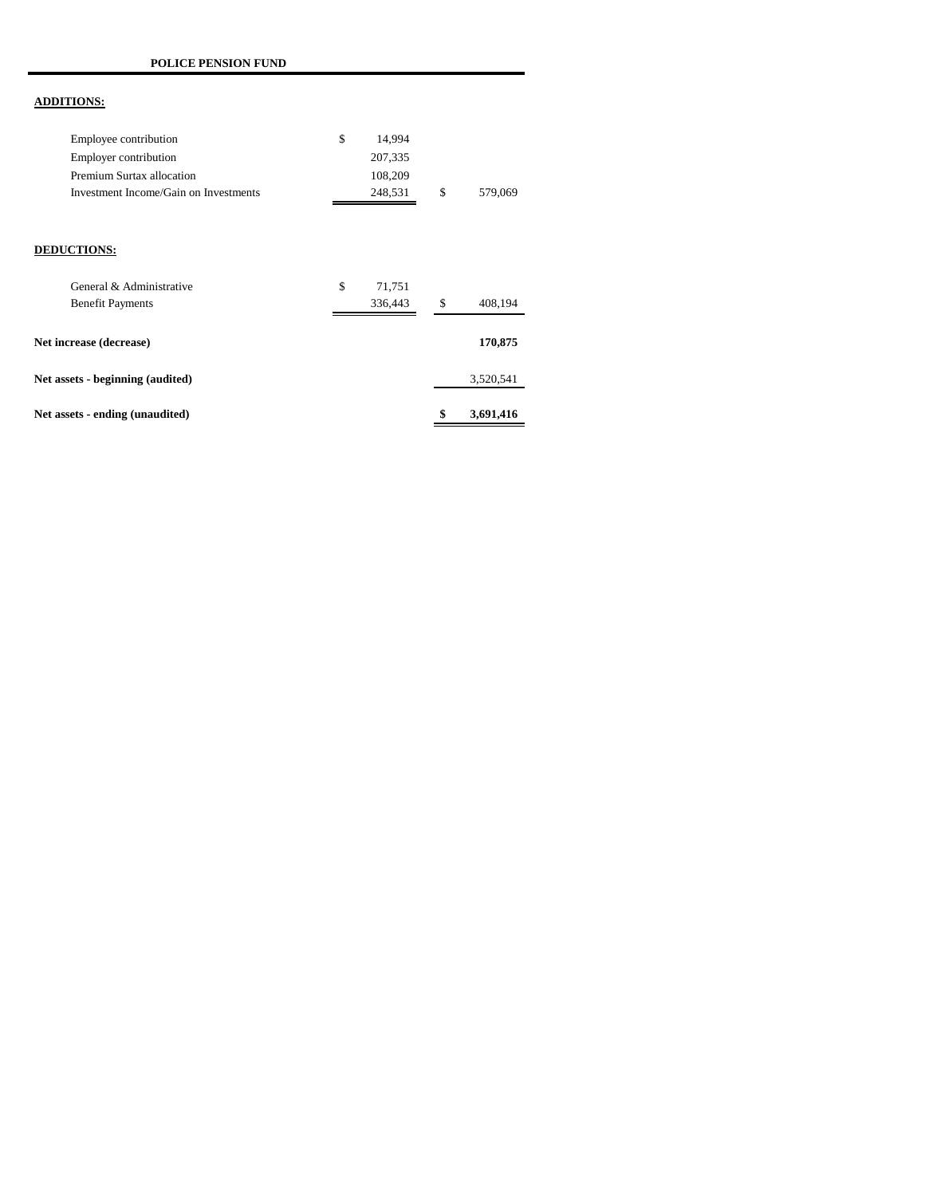# **ADDITIONS:**

| Employee contribution                 | 14.994  |     |         |
|---------------------------------------|---------|-----|---------|
| Employer contribution                 | 207,335 |     |         |
| Premium Surtax allocation             | 108.209 |     |         |
| Investment Income/Gain on Investments | 248.531 | \$. | 579,069 |

### **DEDUCTIONS:**

| General & Administrative         | \$<br>71,751 |                 |
|----------------------------------|--------------|-----------------|
| <b>Benefit Payments</b>          | 336,443      | \$<br>408,194   |
| Net increase (decrease)          |              | 170,875         |
| Net assets - beginning (audited) |              | 3,520,541       |
| Net assets - ending (unaudited)  |              | \$<br>3,691,416 |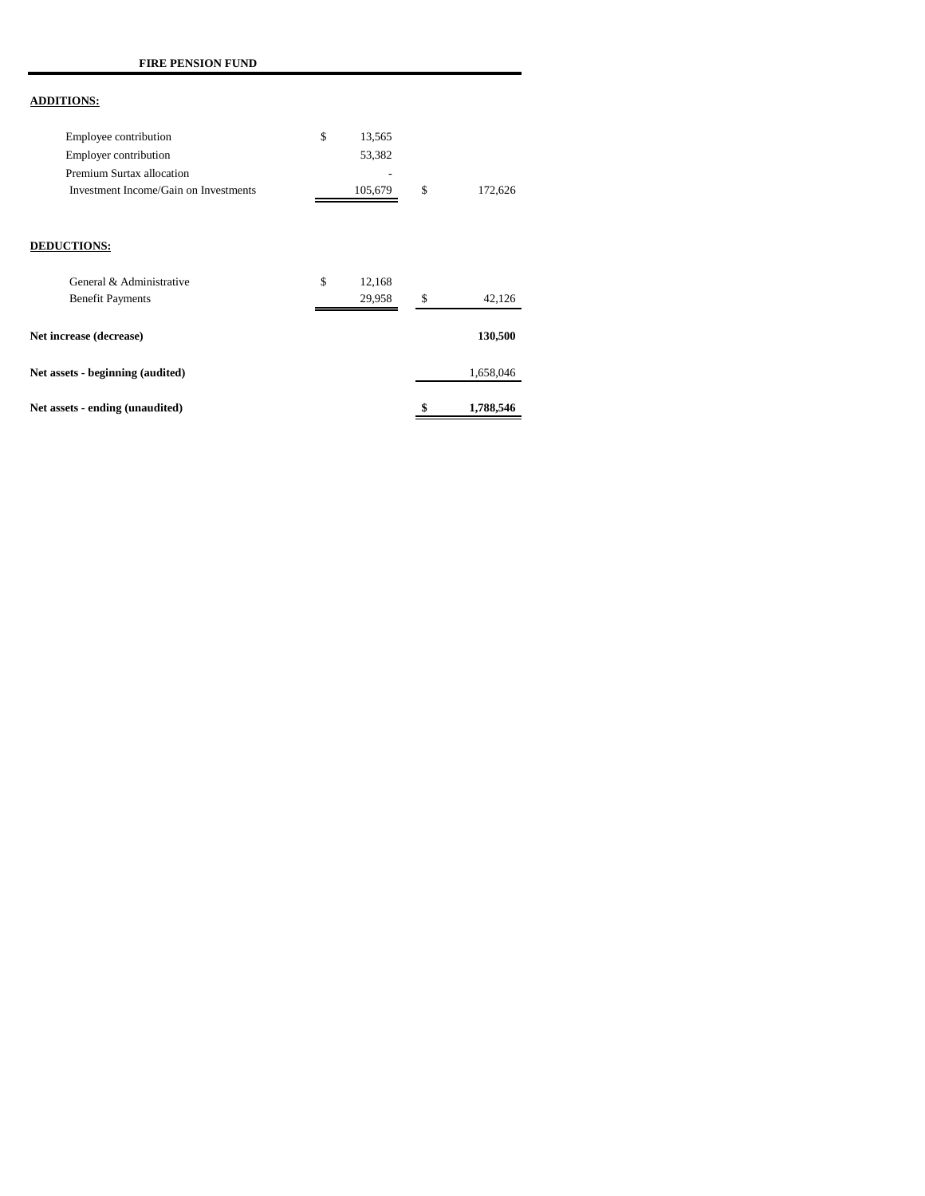### **ADDITIONS:**

| Employee contribution                 | 13.565  |    |         |
|---------------------------------------|---------|----|---------|
| <b>Employer contribution</b>          | 53.382  |    |         |
| Premium Surtax allocation             | -       |    |         |
| Investment Income/Gain on Investments | 105.679 | -8 | 172,626 |

### **DEDUCTIONS:**

| Net assets - ending (unaudited)                     |                        | \$<br>1,788,546 |
|-----------------------------------------------------|------------------------|-----------------|
| Net assets - beginning (audited)                    |                        | 1,658,046       |
| Net increase (decrease)                             |                        | 130,500         |
| General & Administrative<br><b>Benefit Payments</b> | \$<br>12,168<br>29.958 | \$<br>42,126    |
|                                                     |                        |                 |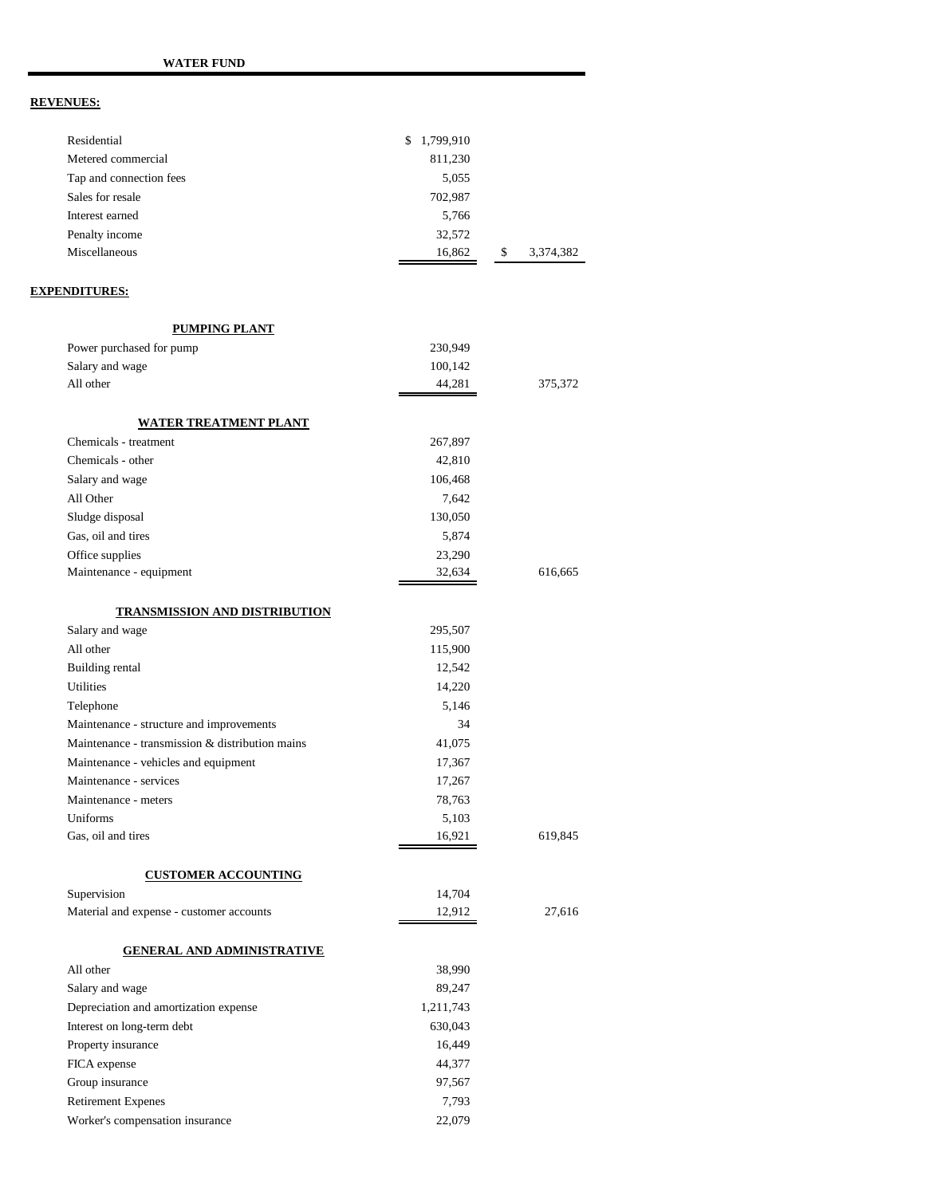| Residential                                     | \$<br>1,799,910  |                 |
|-------------------------------------------------|------------------|-----------------|
| Metered commercial                              | 811,230          |                 |
| Tap and connection fees                         | 5,055            |                 |
| Sales for resale<br>Interest earned             | 702,987          |                 |
|                                                 | 5,766            |                 |
| Penalty income<br>Miscellaneous                 | 32,572<br>16,862 | \$<br>3,374,382 |
|                                                 |                  |                 |
| <b>EXPENDITURES:</b>                            |                  |                 |
| PUMPING PLANT                                   |                  |                 |
| Power purchased for pump                        | 230,949          |                 |
| Salary and wage                                 | 100,142          |                 |
| All other                                       | 44,281           | 375,372         |
| <u>WATER TREATMENT PLANT</u>                    |                  |                 |
| Chemicals - treatment                           | 267,897          |                 |
| Chemicals - other                               | 42,810           |                 |
| Salary and wage                                 | 106,468          |                 |
| All Other                                       | 7,642            |                 |
| Sludge disposal                                 | 130,050          |                 |
| Gas, oil and tires                              | 5,874            |                 |
| Office supplies                                 | 23,290           |                 |
| Maintenance - equipment                         | 32,634           | 616,665         |
| <b>TRANSMISSION AND DISTRIBUTION</b>            |                  |                 |
| Salary and wage                                 | 295,507          |                 |
| All other                                       | 115,900          |                 |
| Building rental                                 | 12,542           |                 |
| Utilities                                       | 14,220           |                 |
| Telephone                                       | 5,146            |                 |
| Maintenance - structure and improvements        | 34               |                 |
| Maintenance - transmission & distribution mains | 41,075           |                 |
| Maintenance - vehicles and equipment            | 17,367           |                 |
| Maintenance - services                          | 17,267           |                 |
| Maintenance - meters                            | 78,763           |                 |
| Uniforms                                        | 5,103            |                 |
| Gas, oil and tires                              | 16,921           | 619,845         |
| <b>CUSTOMER ACCOUNTING</b>                      |                  |                 |
| Supervision                                     | 14,704           |                 |
| Material and expense - customer accounts        | 12,912           | 27,616          |
| <b>GENERAL AND ADMINISTRATIVE</b>               |                  |                 |
| All other                                       | 38,990           |                 |
| Salary and wage                                 | 89,247           |                 |
| Depreciation and amortization expense           | 1,211,743        |                 |
| Interest on long-term debt                      | 630,043          |                 |
| Property insurance                              | 16,449           |                 |
| FICA expense                                    | 44,377           |                 |
| Group insurance                                 | 97,567           |                 |
| <b>Retirement Expenes</b>                       | 7,793            |                 |
| Worker's compensation insurance                 | 22,079           |                 |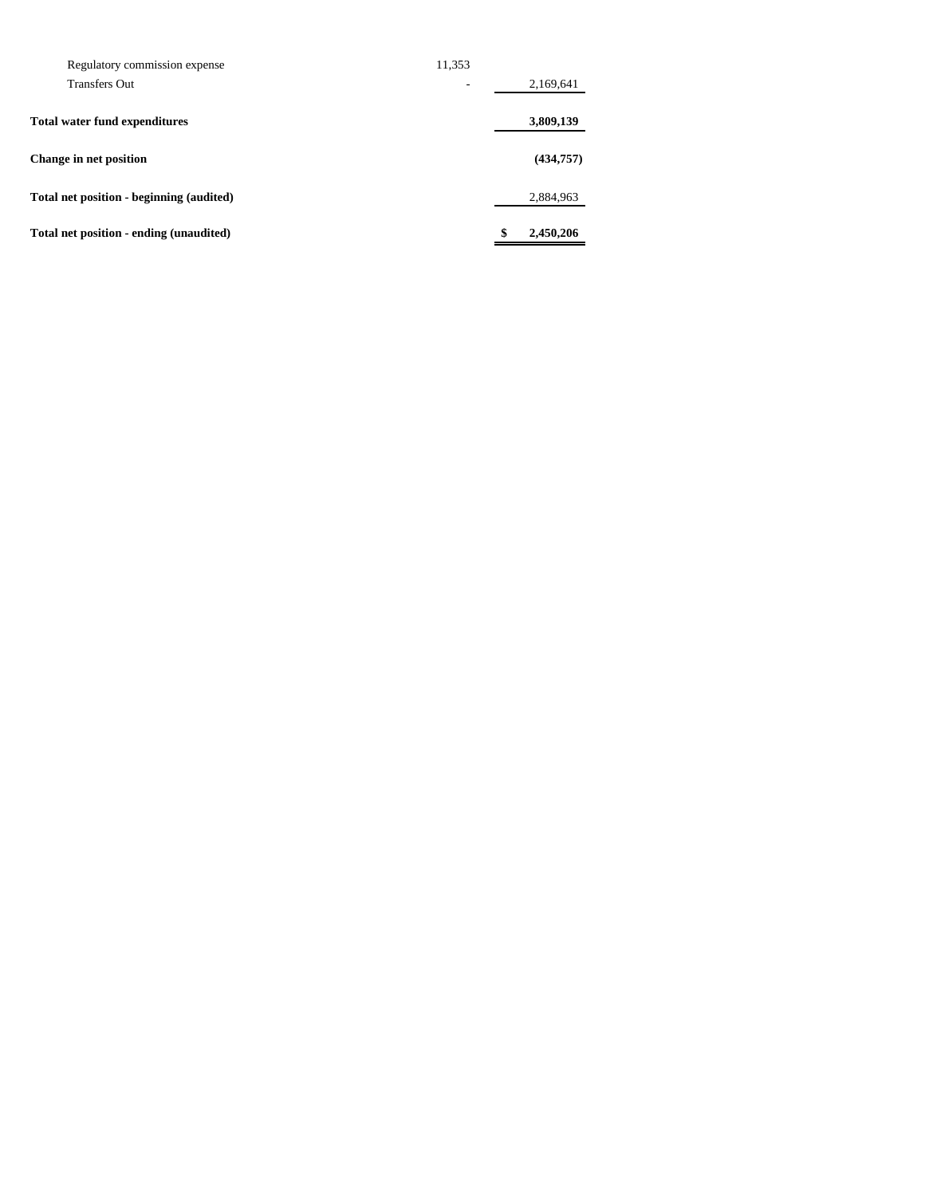| Total net position - ending (unaudited)  |        | \$<br>2,450,206 |
|------------------------------------------|--------|-----------------|
| Total net position - beginning (audited) |        | 2,884,963       |
| Change in net position                   |        | (434,757)       |
| <b>Total water fund expenditures</b>     |        | 3,809,139       |
| <b>Transfers Out</b>                     | ۰      | 2,169,641       |
| Regulatory commission expense            | 11,353 |                 |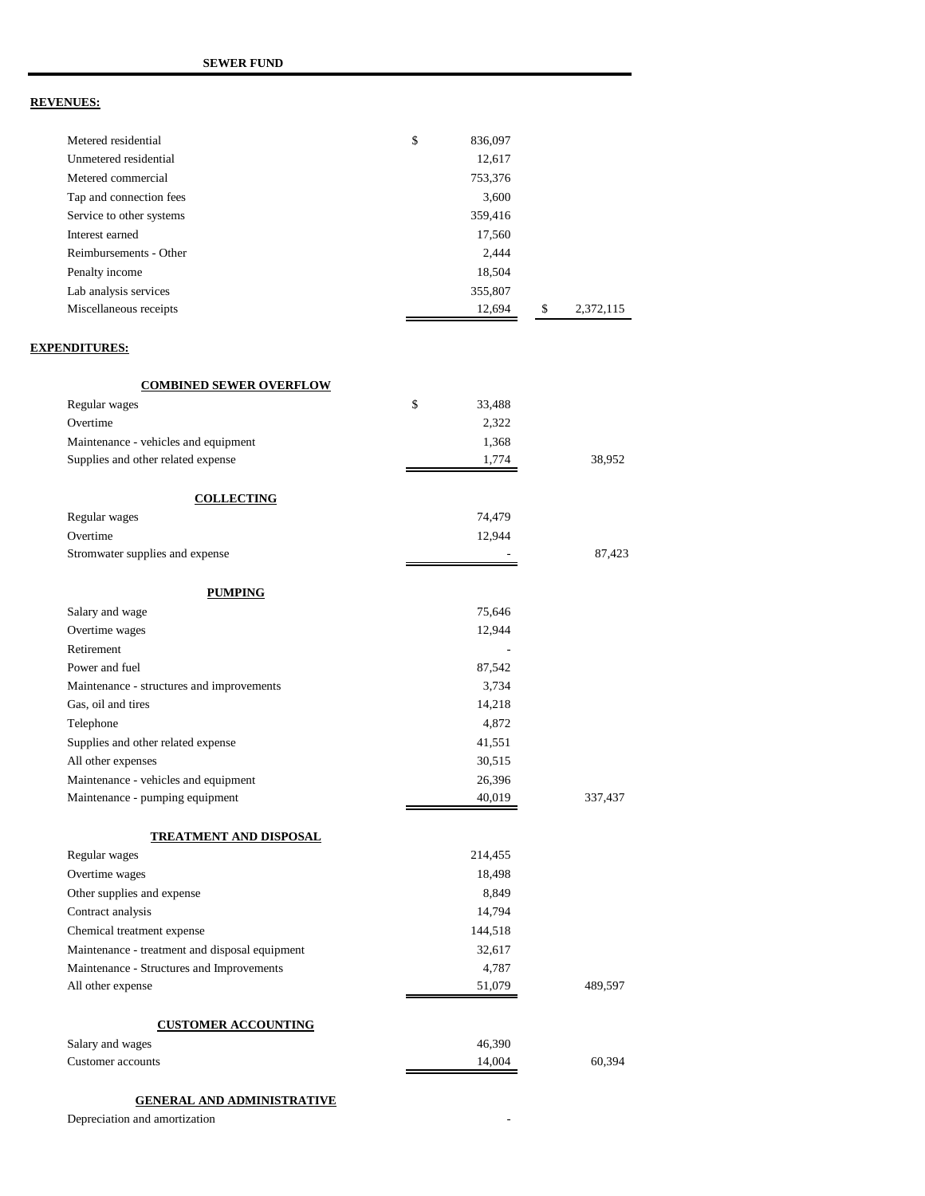| Metered residential                            | \$<br>836,097    |                 |
|------------------------------------------------|------------------|-----------------|
| Unmetered residential                          | 12,617           |                 |
| Metered commercial                             | 753,376          |                 |
| Tap and connection fees                        | 3,600            |                 |
| Service to other systems                       | 359,416          |                 |
| Interest earned                                | 17,560           |                 |
| Reimbursements - Other                         | 2,444            |                 |
| Penalty income                                 | 18,504           |                 |
| Lab analysis services                          | 355,807          |                 |
| Miscellaneous receipts                         | 12,694           | \$<br>2,372,115 |
|                                                |                  |                 |
| <b>EXPENDITURES:</b>                           |                  |                 |
| <b>COMBINED SEWER OVERFLOW</b>                 |                  |                 |
| Regular wages                                  | \$<br>33,488     |                 |
| Overtime                                       | 2,322            |                 |
| Maintenance - vehicles and equipment           | 1,368            |                 |
| Supplies and other related expense             | 1,774            | 38,952          |
| <b>COLLECTING</b>                              |                  |                 |
| Regular wages                                  | 74,479           |                 |
| Overtime                                       | 12,944           |                 |
| Stromwater supplies and expense                |                  | 87,423          |
|                                                |                  |                 |
| <b>PUMPING</b>                                 |                  |                 |
| Salary and wage                                | 75,646           |                 |
| Overtime wages                                 | 12,944           |                 |
| Retirement                                     |                  |                 |
| Power and fuel                                 | 87,542           |                 |
| Maintenance - structures and improvements      | 3,734            |                 |
| Gas, oil and tires                             | 14,218           |                 |
| Telephone                                      | 4,872            |                 |
| Supplies and other related expense             | 41,551           |                 |
| All other expenses                             | 30,515           |                 |
| Maintenance - vehicles and equipment           | 26,396           |                 |
| Maintenance - pumping equipment                | 40,019           | 337,437         |
| TREATMENT AND DISPOSAL                         |                  |                 |
| Regular wages                                  | 214,455          |                 |
| Overtime wages                                 | 18,498           |                 |
| Other supplies and expense                     | 8,849            |                 |
| Contract analysis                              | 14,794           |                 |
| Chemical treatment expense                     | 144,518          |                 |
| Maintenance - treatment and disposal equipment | 32,617           |                 |
| Maintenance - Structures and Improvements      | 4,787            |                 |
| All other expense                              | 51,079           | 489,597         |
| <b>CUSTOMER ACCOUNTING</b>                     |                  |                 |
|                                                |                  |                 |
| Salary and wages<br>Customer accounts          | 46,390<br>14,004 | 60,394          |
|                                                |                  |                 |
|                                                |                  |                 |

### **GENERAL AND ADMINISTRATIVE**

Depreciation and amortization **Figure 2**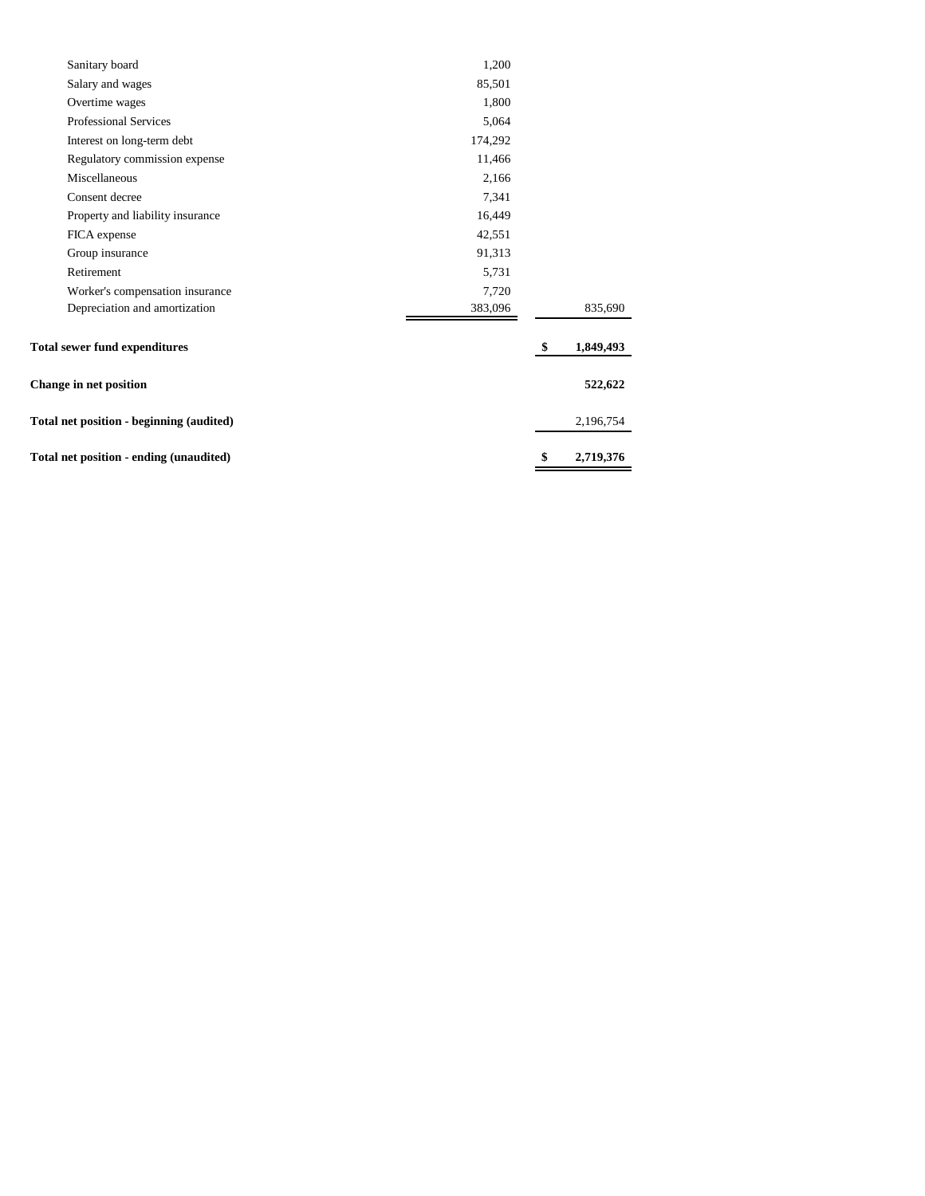| Sanitary board                           | 1,200   |                 |
|------------------------------------------|---------|-----------------|
| Salary and wages                         | 85,501  |                 |
| Overtime wages                           | 1,800   |                 |
| Professional Services                    | 5,064   |                 |
| Interest on long-term debt               | 174,292 |                 |
| Regulatory commission expense            | 11,466  |                 |
| Miscellaneous                            | 2,166   |                 |
| Consent decree                           | 7,341   |                 |
| Property and liability insurance         | 16,449  |                 |
| FICA expense                             | 42,551  |                 |
| Group insurance                          | 91,313  |                 |
| Retirement                               | 5,731   |                 |
| Worker's compensation insurance          | 7,720   |                 |
| Depreciation and amortization            | 383,096 | 835,690         |
| <b>Total sewer fund expenditures</b>     |         | \$<br>1,849,493 |
| <b>Change in net position</b>            |         | 522,622         |
| Total net position - beginning (audited) |         | 2,196,754       |
| Total net position - ending (unaudited)  |         | \$<br>2,719,376 |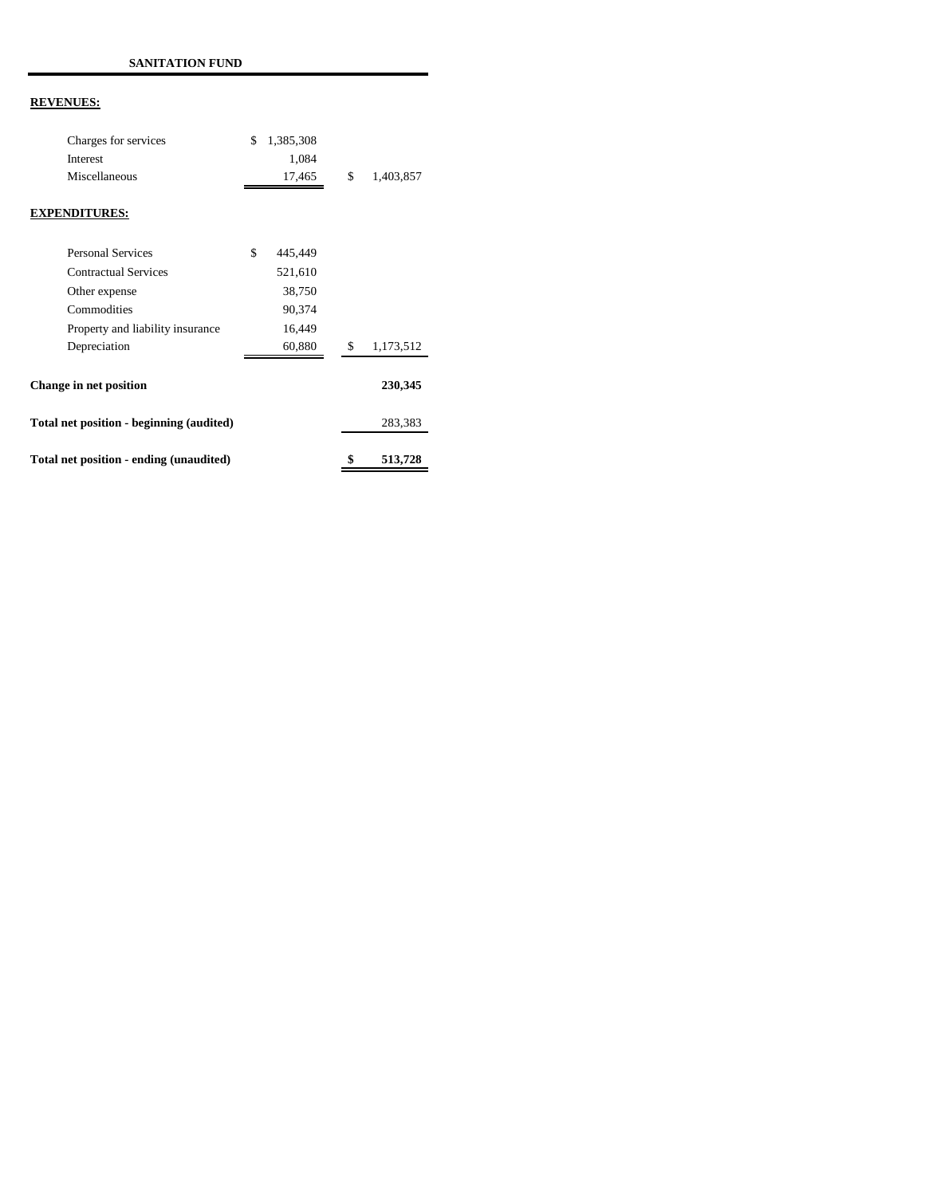| Total net position - ending (unaudited)  |                 | \$<br>513,728   |  |
|------------------------------------------|-----------------|-----------------|--|
| Total net position - beginning (audited) |                 | 283,383         |  |
| <b>Change in net position</b>            |                 | 230,345         |  |
| Depreciation                             | 60,880          | \$<br>1,173,512 |  |
| Property and liability insurance         | 16,449          |                 |  |
| Commodities                              | 90,374          |                 |  |
| Other expense                            | 38,750          |                 |  |
| <b>Contractual Services</b>              | 521,610         |                 |  |
| <b>Personal Services</b>                 | \$<br>445,449   |                 |  |
| <b>EXPENDITURES:</b>                     |                 |                 |  |
| Miscellaneous                            | 17,465          | \$<br>1,403,857 |  |
| Interest                                 | 1,084           |                 |  |
| Charges for services                     | \$<br>1,385,308 |                 |  |
|                                          |                 |                 |  |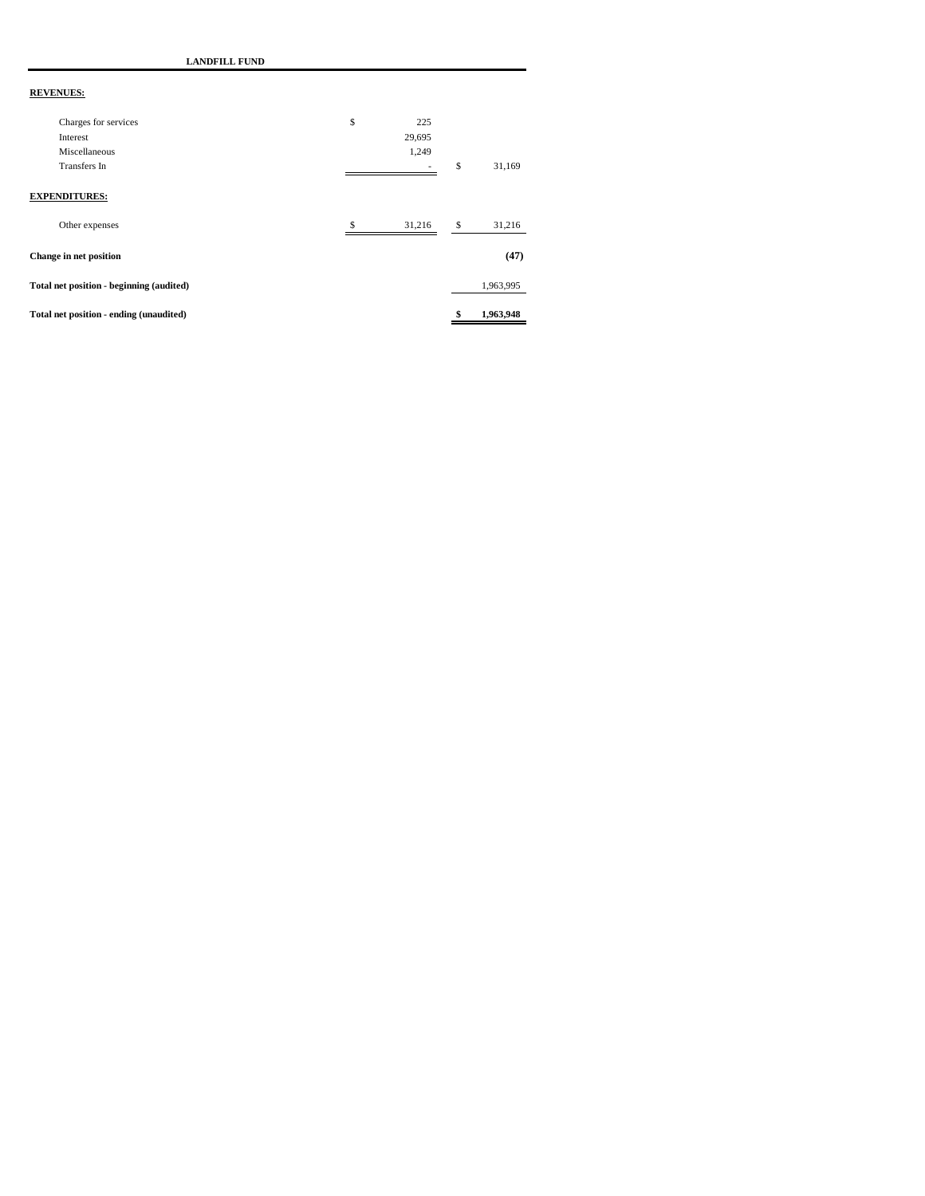**LANDFILL FUND**

| Total net position - ending (unaudited)  |     |        | \$<br>1,963,948 |
|------------------------------------------|-----|--------|-----------------|
| Total net position - beginning (audited) |     |        | 1,963,995       |
| <b>Change in net position</b>            |     |        | (47)            |
| Other expenses                           | \$. | 31,216 | \$<br>31,216    |
| <b>EXPENDITURES:</b>                     |     |        |                 |
| Transfers In                             |     |        | \$<br>31,169    |
| Miscellaneous                            |     | 1,249  |                 |
| Interest                                 |     | 29,695 |                 |
| Charges for services                     | \$  | 225    |                 |
|                                          |     |        |                 |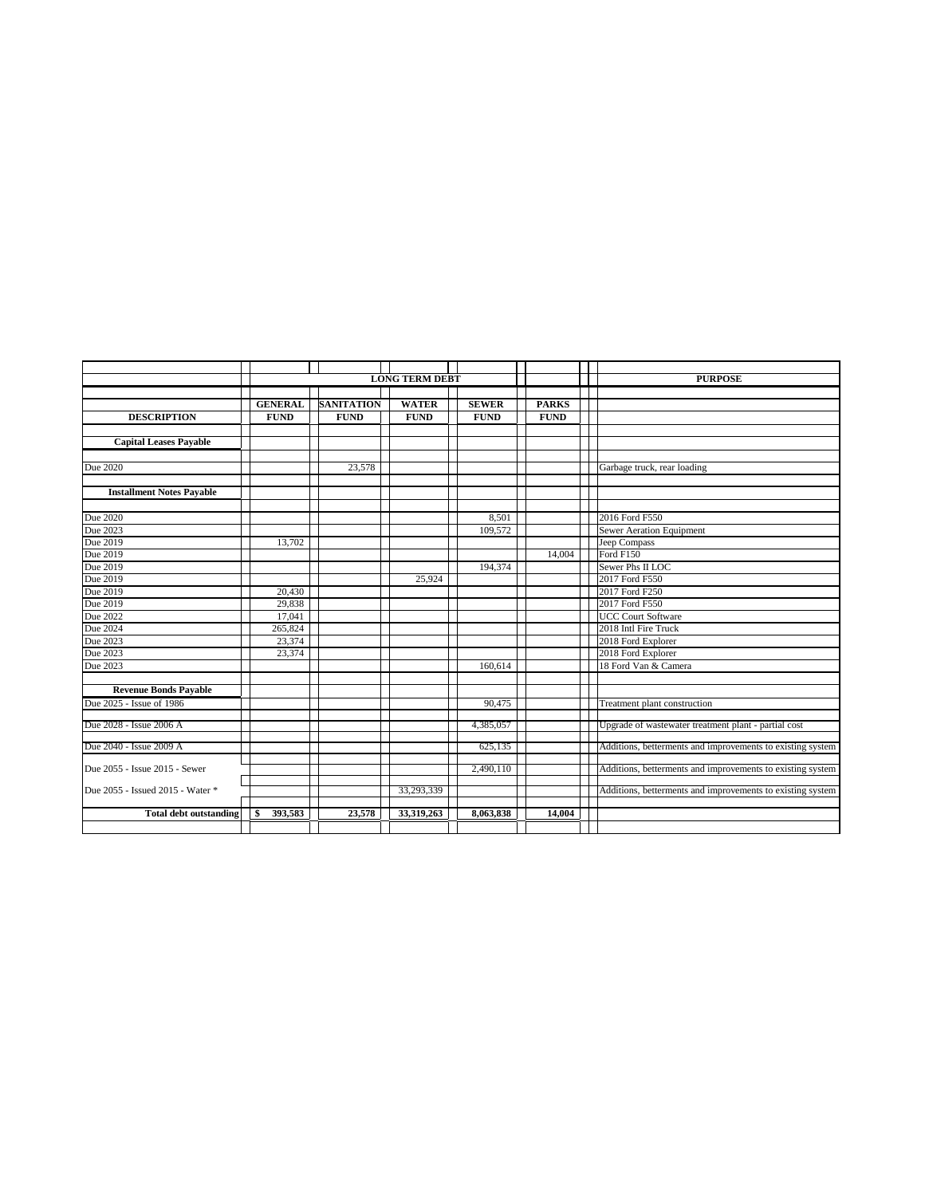|                                  | <b>LONG TERM DEBT</b> |                   |              | <b>PURPOSE</b> |              |                                                            |
|----------------------------------|-----------------------|-------------------|--------------|----------------|--------------|------------------------------------------------------------|
|                                  |                       |                   |              |                |              |                                                            |
|                                  | <b>GENERAL</b>        | <b>SANITATION</b> | <b>WATER</b> | <b>SEWER</b>   | <b>PARKS</b> |                                                            |
| <b>DESCRIPTION</b>               | <b>FUND</b>           | <b>FUND</b>       | <b>FUND</b>  | <b>FUND</b>    | <b>FUND</b>  |                                                            |
|                                  |                       |                   |              |                |              |                                                            |
| <b>Capital Leases Payable</b>    |                       |                   |              |                |              |                                                            |
|                                  |                       |                   |              |                |              |                                                            |
| Due 2020                         |                       | 23,578            |              |                |              | Garbage truck, rear loading                                |
|                                  |                       |                   |              |                |              |                                                            |
| <b>Installment Notes Payable</b> |                       |                   |              |                |              |                                                            |
|                                  |                       |                   |              |                |              |                                                            |
| Due 2020                         |                       |                   |              | 8,501          |              | 2016 Ford F550                                             |
| Due 2023                         |                       |                   |              | 109,572        |              | Sewer Aeration Equipment                                   |
| Due 2019                         | 13,702                |                   |              |                |              | Jeep Compass                                               |
| Due 2019                         |                       |                   |              |                | 14,004       | Ford F150                                                  |
| Due 2019                         |                       |                   |              | 194,374        |              | Sewer Phs II LOC                                           |
| Due 2019                         |                       |                   | 25,924       |                |              | 2017 Ford F550                                             |
| Due 2019                         | 20,430                |                   |              |                |              | 2017 Ford F250                                             |
| Due 2019                         | 29,838                |                   |              |                |              | 2017 Ford F550                                             |
| Due 2022                         | 17,041                |                   |              |                |              | <b>UCC Court Software</b>                                  |
| Due 2024                         | 265,824               |                   |              |                |              | 2018 Intl Fire Truck                                       |
| Due 2023                         | 23,374                |                   |              |                |              | 2018 Ford Explorer                                         |
| Due 2023                         | 23,374                |                   |              |                |              | 2018 Ford Explorer                                         |
| Due 2023                         |                       |                   |              | 160,614        |              | 18 Ford Van & Camera                                       |
|                                  |                       |                   |              |                |              |                                                            |
| <b>Revenue Bonds Pavable</b>     |                       |                   |              |                |              |                                                            |
| Due 2025 - Issue of 1986         |                       |                   |              | 90,475         |              | Treatment plant construction                               |
|                                  |                       |                   |              |                |              |                                                            |
| Due 2028 - Issue 2006 A          |                       |                   |              | 4,385,057      |              | Upgrade of wastewater treatment plant - partial cost       |
| Due 2040 - Issue 2009 A          |                       |                   |              | 625,135        |              | Additions, betterments and improvements to existing system |
|                                  |                       |                   |              |                |              |                                                            |
| Due 2055 - Issue 2015 - Sewer    |                       |                   |              | 2,490,110      |              | Additions, betterments and improvements to existing system |
|                                  |                       |                   |              |                |              |                                                            |
| Due 2055 - Issued 2015 - Water * |                       |                   | 33,293,339   |                |              | Additions, betterments and improvements to existing system |
|                                  |                       |                   |              |                |              |                                                            |
| <b>Total debt outstanding</b>    | 393,583<br>\$         | 23,578            | 33,319,263   | 8,063,838      | 14,004       |                                                            |
|                                  |                       |                   |              |                |              |                                                            |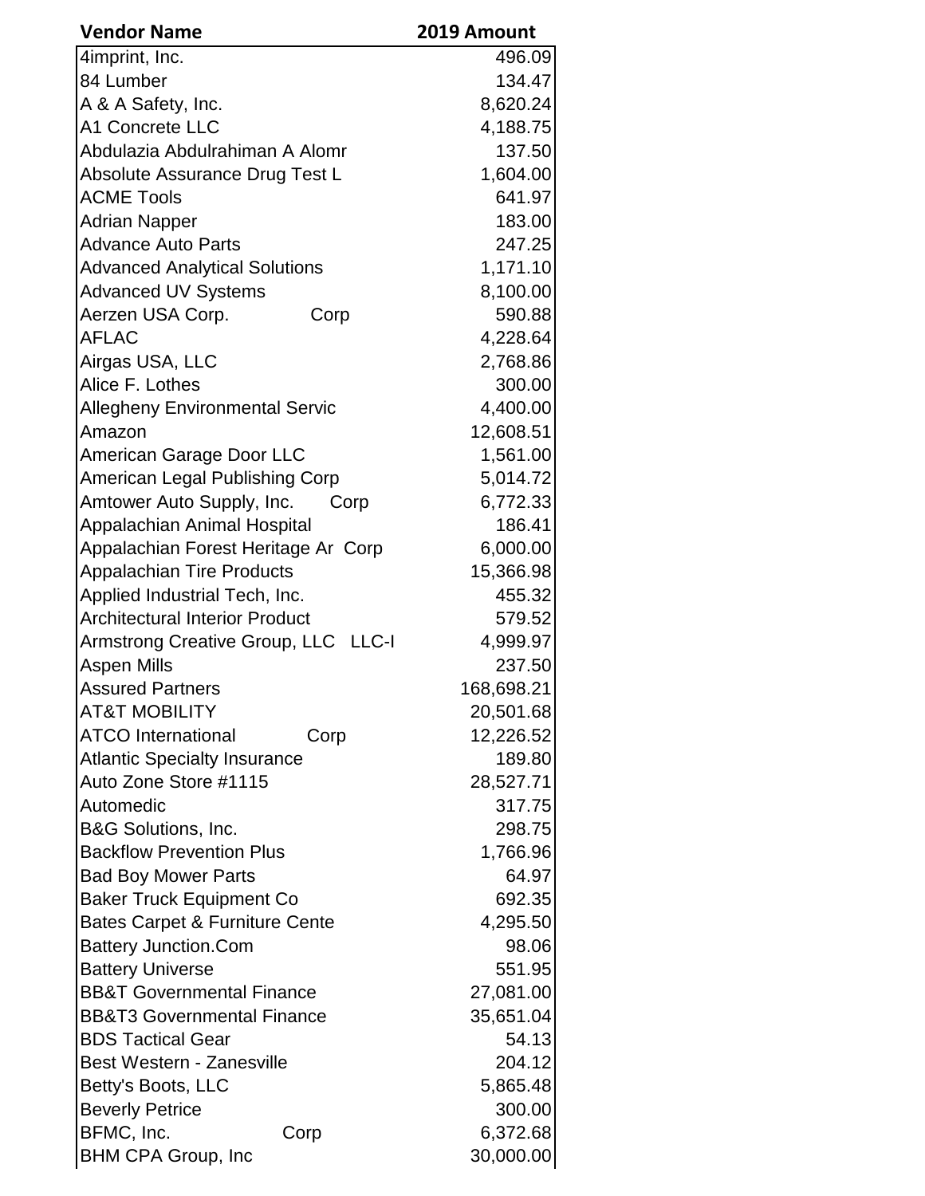| <b>Vendor Name</b>                        | 2019 Amount |
|-------------------------------------------|-------------|
| 4imprint, Inc.                            | 496.09      |
| 84 Lumber                                 | 134.47      |
| A & A Safety, Inc.                        | 8,620.24    |
| A1 Concrete LLC                           | 4,188.75    |
| Abdulazia Abdulrahiman A Alomr            | 137.50      |
| Absolute Assurance Drug Test L            | 1,604.00    |
| <b>ACME Tools</b>                         | 641.97      |
| <b>Adrian Napper</b>                      | 183.00      |
| <b>Advance Auto Parts</b>                 | 247.25      |
| <b>Advanced Analytical Solutions</b>      | 1,171.10    |
| <b>Advanced UV Systems</b>                | 8,100.00    |
| Aerzen USA Corp.<br>Corp                  | 590.88      |
| <b>AFLAC</b>                              | 4,228.64    |
| Airgas USA, LLC                           | 2,768.86    |
| Alice F. Lothes                           | 300.00      |
| <b>Allegheny Environmental Servic</b>     | 4,400.00    |
| Amazon                                    | 12,608.51   |
| American Garage Door LLC                  | 1,561.00    |
| American Legal Publishing Corp            | 5,014.72    |
| Amtower Auto Supply, Inc.<br>Corp         | 6,772.33    |
| Appalachian Animal Hospital               | 186.41      |
| Appalachian Forest Heritage Ar Corp       | 6,000.00    |
| <b>Appalachian Tire Products</b>          | 15,366.98   |
| Applied Industrial Tech, Inc.             | 455.32      |
| <b>Architectural Interior Product</b>     | 579.52      |
| Armstrong Creative Group, LLC LLC-I       | 4,999.97    |
| <b>Aspen Mills</b>                        | 237.50      |
| <b>Assured Partners</b>                   | 168,698.21  |
| <b>AT&amp;T MOBILITY</b>                  | 20,501.68   |
| <b>ATCO International</b><br>Corp         | 12,226.52   |
| <b>Atlantic Specialty Insurance</b>       | 189.80      |
| Auto Zone Store #1115                     | 28,527.71   |
| Automedic                                 | 317.75      |
| <b>B&amp;G Solutions, Inc.</b>            | 298.75      |
| <b>Backflow Prevention Plus</b>           | 1,766.96    |
| <b>Bad Boy Mower Parts</b>                | 64.97       |
| <b>Baker Truck Equipment Co</b>           | 692.35      |
| <b>Bates Carpet &amp; Furniture Cente</b> | 4,295.50    |
| <b>Battery Junction.Com</b>               | 98.06       |
| <b>Battery Universe</b>                   | 551.95      |
| <b>BB&amp;T Governmental Finance</b>      | 27,081.00   |
| <b>BB&amp;T3 Governmental Finance</b>     | 35,651.04   |
| <b>BDS Tactical Gear</b>                  | 54.13       |
| Best Western - Zanesville                 | 204.12      |
| Betty's Boots, LLC                        | 5,865.48    |
| <b>Beverly Petrice</b>                    | 300.00      |
| BFMC, Inc.<br>Corp                        | 6,372.68    |
| <b>BHM CPA Group, Inc</b>                 | 30,000.00   |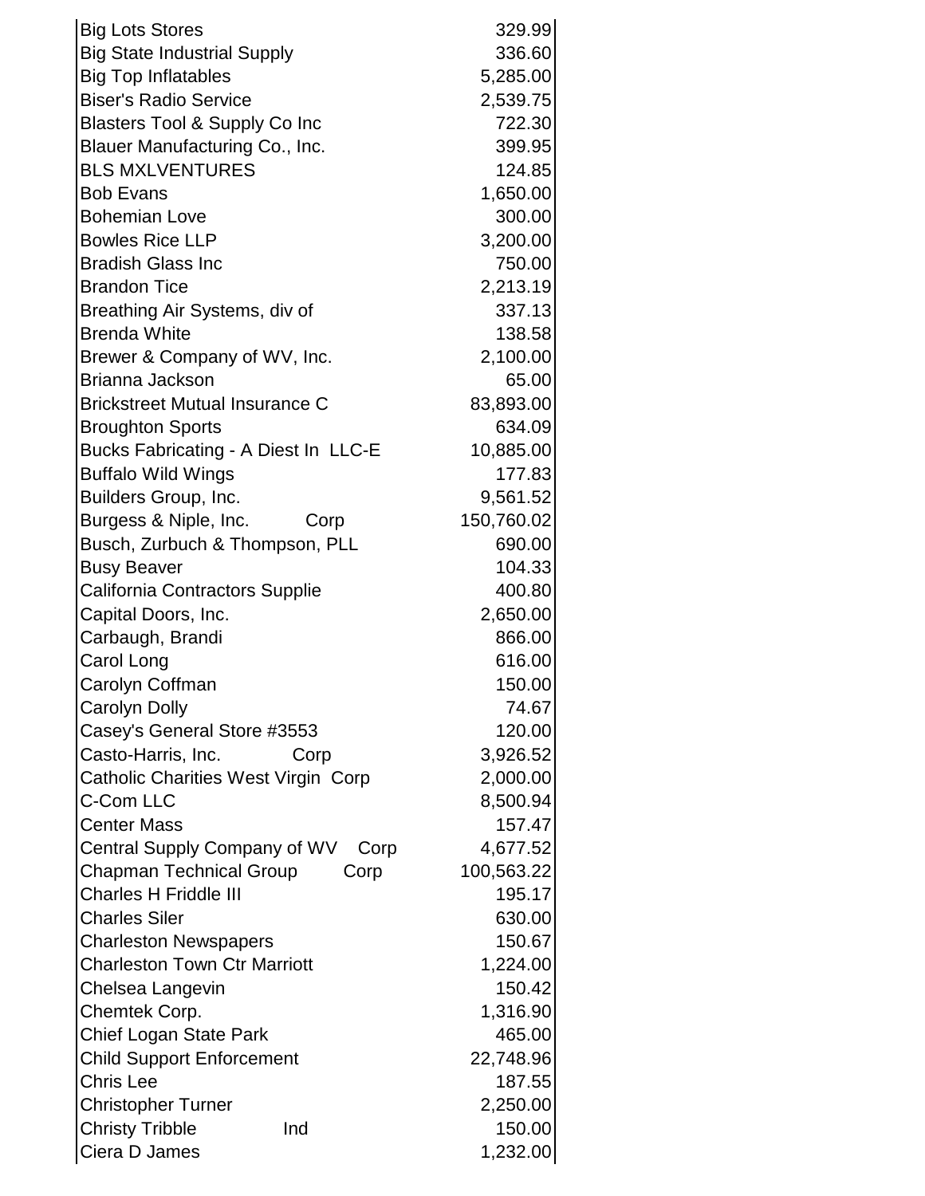| <b>Big Lots Stores</b>                   | 329.99     |
|------------------------------------------|------------|
| <b>Big State Industrial Supply</b>       | 336.60     |
| <b>Big Top Inflatables</b>               | 5,285.00   |
| <b>Biser's Radio Service</b>             | 2,539.75   |
| <b>Blasters Tool &amp; Supply Co Inc</b> | 722.30     |
| Blauer Manufacturing Co., Inc.           | 399.95     |
| <b>BLS MXLVENTURES</b>                   | 124.85     |
| <b>Bob Evans</b>                         | 1,650.00   |
| <b>Bohemian Love</b>                     | 300.00     |
| <b>Bowles Rice LLP</b>                   | 3,200.00   |
| <b>Bradish Glass Inc</b>                 | 750.00     |
| <b>Brandon Tice</b>                      | 2,213.19   |
| Breathing Air Systems, div of            | 337.13     |
| <b>Brenda White</b>                      | 138.58     |
| Brewer & Company of WV, Inc.             | 2,100.00   |
| Brianna Jackson                          | 65.00      |
| <b>Brickstreet Mutual Insurance C</b>    | 83,893.00  |
| <b>Broughton Sports</b>                  | 634.09     |
| Bucks Fabricating - A Diest In LLC-E     | 10,885.00  |
| <b>Buffalo Wild Wings</b>                | 177.83     |
| Builders Group, Inc.                     | 9,561.52   |
| Burgess & Niple, Inc.<br>Corp            | 150,760.02 |
| Busch, Zurbuch & Thompson, PLL           | 690.00     |
| <b>Busy Beaver</b>                       | 104.33     |
| California Contractors Supplie           | 400.80     |
| Capital Doors, Inc.                      | 2,650.00   |
| Carbaugh, Brandi                         | 866.00     |
| Carol Long                               | 616.00     |
| Carolyn Coffman                          | 150.00     |
| Carolyn Dolly                            | 74.67      |
| Casey's General Store #3553              | 120.00     |
| Casto-Harris, Inc.<br>Corp               | 3,926.52   |
| Catholic Charities West Virgin Corp      | 2,000.00   |
| <b>C-Com LLC</b>                         | 8,500.94   |
| <b>Center Mass</b>                       | 157.47     |
| Central Supply Company of WV<br>Corp     | 4,677.52   |
| <b>Chapman Technical Group</b><br>Corp   | 100,563.22 |
| <b>Charles H Friddle III</b>             | 195.17     |
| <b>Charles Siler</b>                     | 630.00     |
| <b>Charleston Newspapers</b>             | 150.67     |
| <b>Charleston Town Ctr Marriott</b>      | 1,224.00   |
| Chelsea Langevin                         | 150.42     |
| Chemtek Corp.                            | 1,316.90   |
| <b>Chief Logan State Park</b>            | 465.00     |
| <b>Child Support Enforcement</b>         | 22,748.96  |
| <b>Chris Lee</b>                         | 187.55     |
| <b>Christopher Turner</b>                | 2,250.00   |
| <b>Christy Tribble</b><br>Ind            | 150.00     |
| Ciera D James                            | 1,232.00   |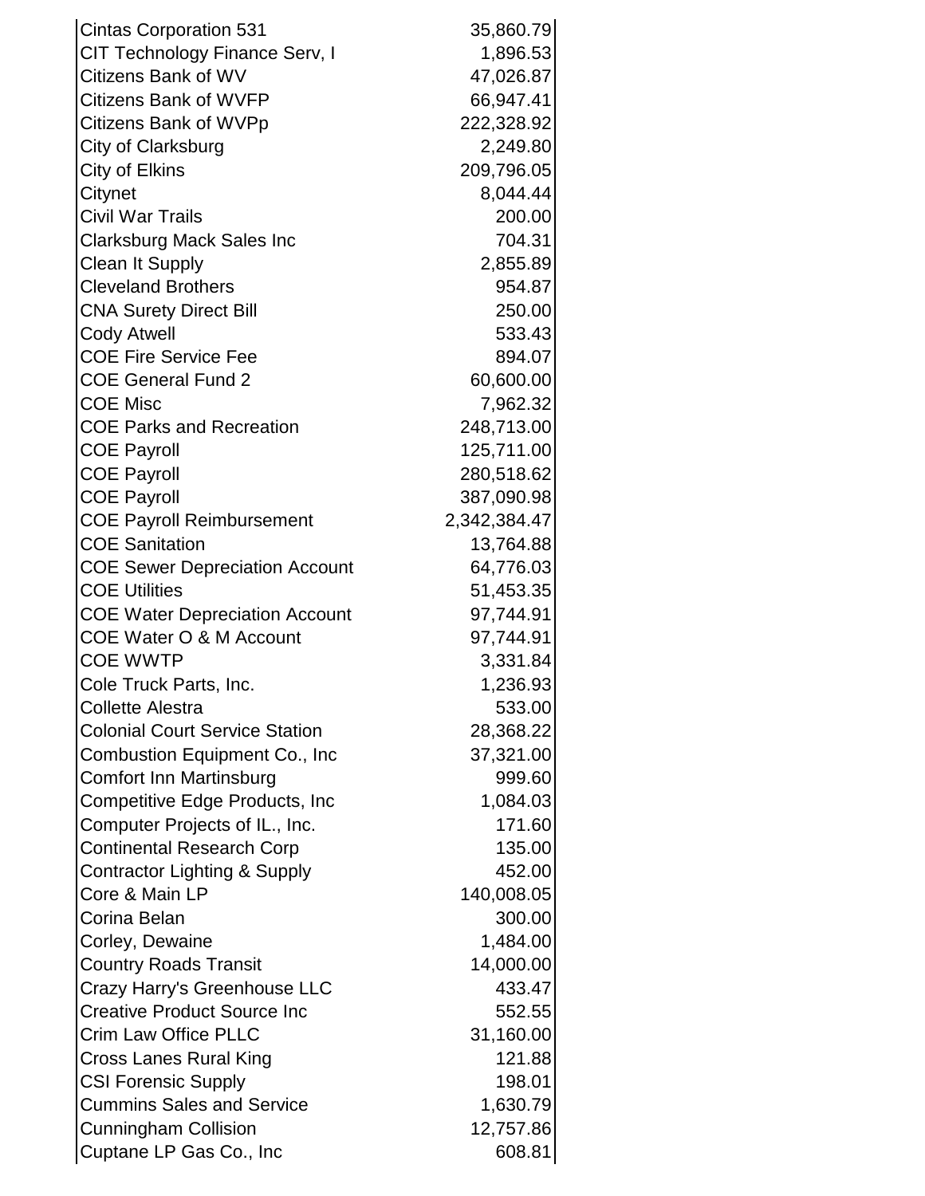| <b>Cintas Corporation 531</b>         | 35,860.79    |
|---------------------------------------|--------------|
| CIT Technology Finance Serv, I        | 1,896.53     |
| Citizens Bank of WV                   | 47,026.87    |
| <b>Citizens Bank of WVFP</b>          | 66,947.41    |
| Citizens Bank of WVPp                 | 222,328.92   |
| City of Clarksburg                    | 2,249.80     |
| City of Elkins                        | 209,796.05   |
| Citynet                               | 8,044.44     |
| Civil War Trails                      | 200.00       |
| <b>Clarksburg Mack Sales Inc</b>      | 704.31       |
| <b>Clean It Supply</b>                | 2,855.89     |
| <b>Cleveland Brothers</b>             | 954.87       |
| <b>CNA Surety Direct Bill</b>         | 250.00       |
| <b>Cody Atwell</b>                    | 533.43       |
| <b>COE Fire Service Fee</b>           | 894.07       |
| <b>COE General Fund 2</b>             | 60,600.00    |
| <b>COE Misc</b>                       | 7,962.32     |
| <b>COE Parks and Recreation</b>       | 248,713.00   |
| <b>COE Payroll</b>                    | 125,711.00   |
| <b>COE Payroll</b>                    | 280,518.62   |
| <b>COE Payroll</b>                    | 387,090.98   |
| <b>COE Payroll Reimbursement</b>      | 2,342,384.47 |
| <b>COE Sanitation</b>                 | 13,764.88    |
| <b>COE Sewer Depreciation Account</b> | 64,776.03    |
| <b>COE Utilities</b>                  | 51,453.35    |
| <b>COE Water Depreciation Account</b> | 97,744.91    |
| <b>COE Water O &amp; M Account</b>    | 97,744.91    |
| <b>COE WWTP</b>                       | 3,331.84     |
| Cole Truck Parts, Inc.                | 1,236.93     |
| <b>Collette Alestra</b>               | 533.00       |
| <b>Colonial Court Service Station</b> | 28,368.22    |
| Combustion Equipment Co., Inc.        | 37,321.00    |
| Comfort Inn Martinsburg               | 999.60       |
| Competitive Edge Products, Inc.       | 1,084.03     |
| Computer Projects of IL., Inc.        | 171.60       |
| <b>Continental Research Corp</b>      | 135.00       |
| Contractor Lighting & Supply          | 452.00       |
| Core & Main LP                        | 140,008.05   |
| Corina Belan                          | 300.00       |
| Corley, Dewaine                       | 1,484.00     |
| <b>Country Roads Transit</b>          | 14,000.00    |
| Crazy Harry's Greenhouse LLC          | 433.47       |
| <b>Creative Product Source Inc</b>    | 552.55       |
| <b>Crim Law Office PLLC</b>           | 31,160.00    |
| Cross Lanes Rural King                | 121.88       |
| <b>CSI Forensic Supply</b>            | 198.01       |
| <b>Cummins Sales and Service</b>      | 1,630.79     |
| <b>Cunningham Collision</b>           | 12,757.86    |
| Cuptane LP Gas Co., Inc               | 608.81       |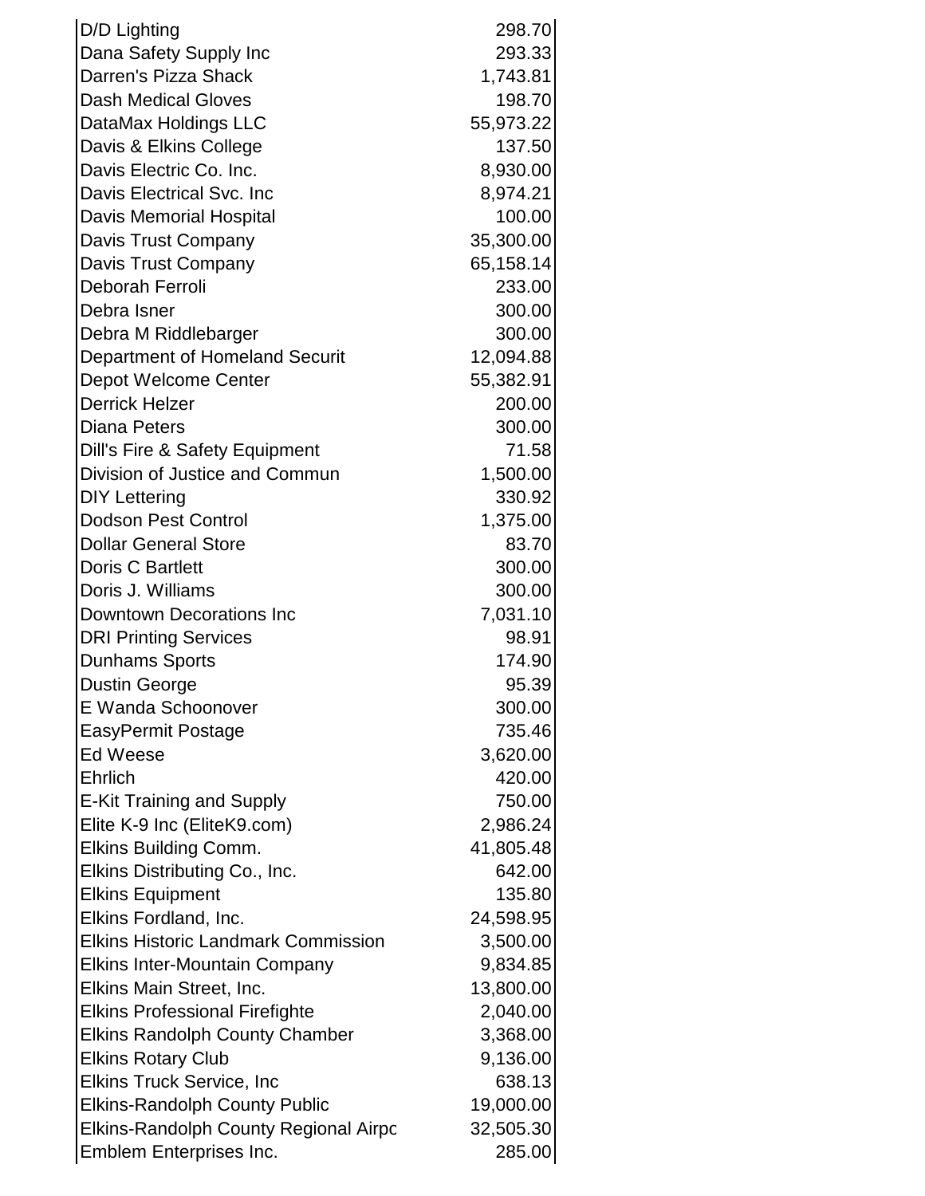| D/D Lighting                                 | 298.70    |
|----------------------------------------------|-----------|
| Dana Safety Supply Inc                       | 293.33    |
| Darren's Pizza Shack                         | 1,743.81  |
| <b>Dash Medical Gloves</b>                   | 198.70    |
| DataMax Holdings LLC                         | 55,973.22 |
| Davis & Elkins College                       | 137.50    |
| Davis Electric Co. Inc.                      | 8,930.00  |
| Davis Electrical Svc. Inc                    | 8,974.21  |
| <b>Davis Memorial Hospital</b>               | 100.00    |
| Davis Trust Company                          | 35,300.00 |
| Davis Trust Company                          | 65,158.14 |
| Deborah Ferroli                              | 233.00    |
| Debra Isner                                  | 300.00    |
| Debra M Riddlebarger                         | 300.00    |
| Department of Homeland Securit               | 12,094.88 |
| Depot Welcome Center                         | 55,382.91 |
| <b>Derrick Helzer</b>                        | 200.00    |
| <b>Diana Peters</b>                          | 300.00    |
| Dill's Fire & Safety Equipment               | 71.58     |
| Division of Justice and Commun               | 1,500.00  |
| <b>DIY Lettering</b>                         | 330.92    |
| <b>Dodson Pest Control</b>                   | 1,375.00  |
| <b>Dollar General Store</b>                  | 83.70     |
| <b>Doris C Bartlett</b>                      | 300.00    |
| Doris J. Williams                            | 300.00    |
| Downtown Decorations Inc                     | 7,031.10  |
| <b>DRI Printing Services</b>                 | 98.91     |
| <b>Dunhams Sports</b>                        | 174.90    |
| <b>Dustin George</b>                         | 95.39     |
| E Wanda Schoonover                           | 300.00    |
| <b>EasyPermit Postage</b>                    | 735.46    |
| <b>Ed Weese</b>                              | 3,620.00  |
| Ehrlich                                      | 420.00    |
| <b>E-Kit Training and Supply</b>             | 750.00    |
| Elite K-9 Inc (EliteK9.com)                  | 2,986.24  |
| Elkins Building Comm.                        | 41,805.48 |
| Elkins Distributing Co., Inc.                | 642.00    |
| <b>Elkins Equipment</b>                      | 135.80    |
| Elkins Fordland, Inc.                        | 24,598.95 |
| <b>Elkins Historic Landmark Commission</b>   | 3,500.00  |
| <b>Elkins Inter-Mountain Company</b>         | 9,834.85  |
| Elkins Main Street, Inc.                     | 13,800.00 |
| <b>Elkins Professional Firefighte</b>        | 2,040.00  |
| <b>Elkins Randolph County Chamber</b>        | 3,368.00  |
| <b>Elkins Rotary Club</b>                    | 9,136.00  |
| <b>Elkins Truck Service, Inc</b>             | 638.13    |
| <b>Elkins-Randolph County Public</b>         | 19,000.00 |
| <b>Elkins-Randolph County Regional Airpo</b> | 32,505.30 |
| Emblem Enterprises Inc.                      | 285.00    |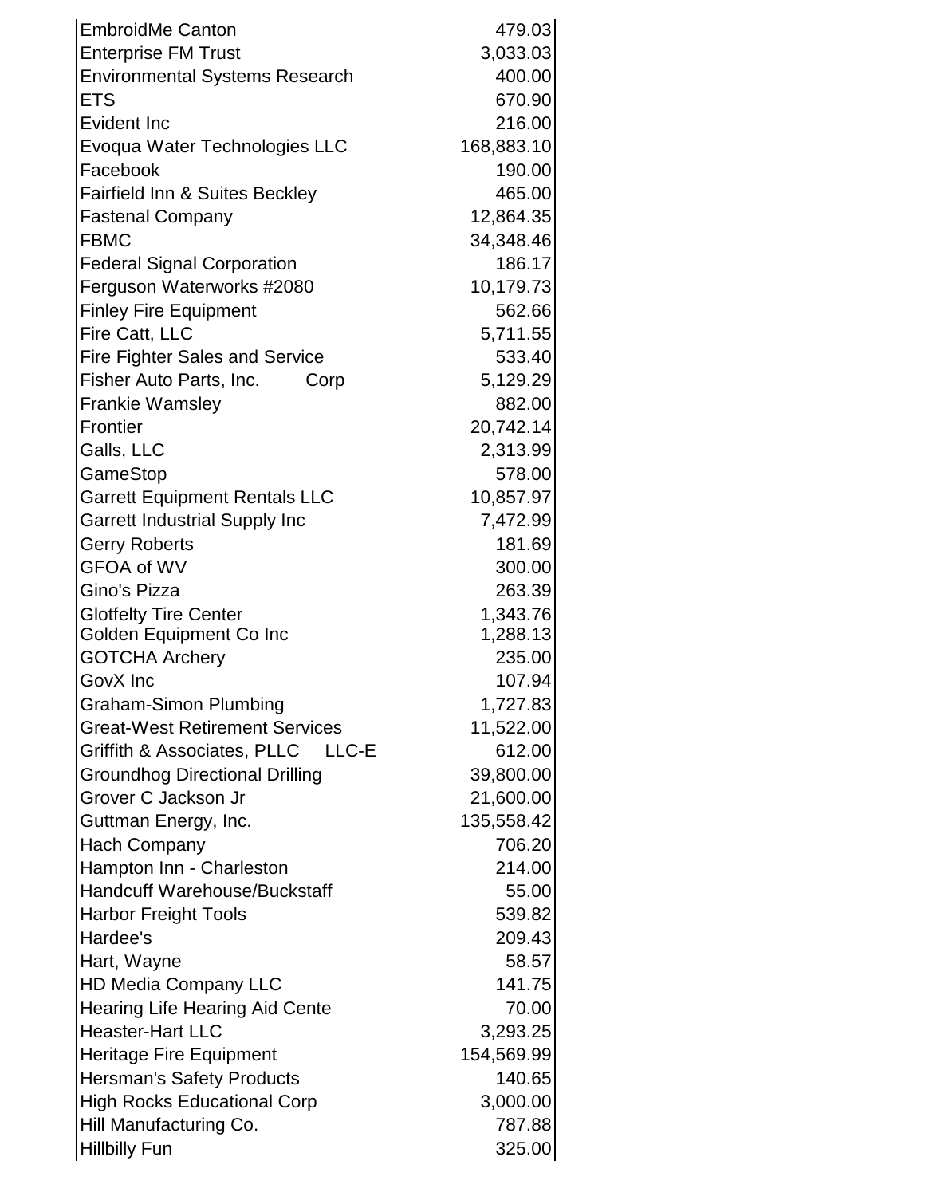| <b>Enterprise FM Trust</b><br>3,033.03<br>400.00<br><b>Environmental Systems Research</b><br>670.90<br><b>ETS</b><br>216.00<br>Evident Inc<br>Evoqua Water Technologies LLC<br>168,883.10<br>Facebook<br>190.00<br>Fairfield Inn & Suites Beckley<br>465.00<br>12,864.35<br><b>Fastenal Company</b><br><b>FBMC</b><br>34,348.46<br>186.17<br><b>Federal Signal Corporation</b><br>Ferguson Waterworks #2080<br>10,179.73<br>562.66<br><b>Finley Fire Equipment</b><br>Fire Catt, LLC<br>5,711.55<br>533.40<br><b>Fire Fighter Sales and Service</b><br>Fisher Auto Parts, Inc.<br>5,129.29<br>Corp<br>882.00<br><b>Frankie Wamsley</b><br>Frontier<br>20,742.14<br>Galls, LLC<br>2,313.99<br>GameStop<br>578.00<br>10,857.97<br><b>Garrett Equipment Rentals LLC</b> |
|----------------------------------------------------------------------------------------------------------------------------------------------------------------------------------------------------------------------------------------------------------------------------------------------------------------------------------------------------------------------------------------------------------------------------------------------------------------------------------------------------------------------------------------------------------------------------------------------------------------------------------------------------------------------------------------------------------------------------------------------------------------------|
|                                                                                                                                                                                                                                                                                                                                                                                                                                                                                                                                                                                                                                                                                                                                                                      |
|                                                                                                                                                                                                                                                                                                                                                                                                                                                                                                                                                                                                                                                                                                                                                                      |
|                                                                                                                                                                                                                                                                                                                                                                                                                                                                                                                                                                                                                                                                                                                                                                      |
|                                                                                                                                                                                                                                                                                                                                                                                                                                                                                                                                                                                                                                                                                                                                                                      |
|                                                                                                                                                                                                                                                                                                                                                                                                                                                                                                                                                                                                                                                                                                                                                                      |
|                                                                                                                                                                                                                                                                                                                                                                                                                                                                                                                                                                                                                                                                                                                                                                      |
|                                                                                                                                                                                                                                                                                                                                                                                                                                                                                                                                                                                                                                                                                                                                                                      |
|                                                                                                                                                                                                                                                                                                                                                                                                                                                                                                                                                                                                                                                                                                                                                                      |
|                                                                                                                                                                                                                                                                                                                                                                                                                                                                                                                                                                                                                                                                                                                                                                      |
|                                                                                                                                                                                                                                                                                                                                                                                                                                                                                                                                                                                                                                                                                                                                                                      |
|                                                                                                                                                                                                                                                                                                                                                                                                                                                                                                                                                                                                                                                                                                                                                                      |
|                                                                                                                                                                                                                                                                                                                                                                                                                                                                                                                                                                                                                                                                                                                                                                      |
|                                                                                                                                                                                                                                                                                                                                                                                                                                                                                                                                                                                                                                                                                                                                                                      |
|                                                                                                                                                                                                                                                                                                                                                                                                                                                                                                                                                                                                                                                                                                                                                                      |
|                                                                                                                                                                                                                                                                                                                                                                                                                                                                                                                                                                                                                                                                                                                                                                      |
|                                                                                                                                                                                                                                                                                                                                                                                                                                                                                                                                                                                                                                                                                                                                                                      |
|                                                                                                                                                                                                                                                                                                                                                                                                                                                                                                                                                                                                                                                                                                                                                                      |
|                                                                                                                                                                                                                                                                                                                                                                                                                                                                                                                                                                                                                                                                                                                                                                      |
|                                                                                                                                                                                                                                                                                                                                                                                                                                                                                                                                                                                                                                                                                                                                                                      |
|                                                                                                                                                                                                                                                                                                                                                                                                                                                                                                                                                                                                                                                                                                                                                                      |
| <b>Garrett Industrial Supply Inc</b><br>7,472.99                                                                                                                                                                                                                                                                                                                                                                                                                                                                                                                                                                                                                                                                                                                     |
| 181.69<br><b>Gerry Roberts</b>                                                                                                                                                                                                                                                                                                                                                                                                                                                                                                                                                                                                                                                                                                                                       |
| <b>GFOA of WV</b><br>300.00                                                                                                                                                                                                                                                                                                                                                                                                                                                                                                                                                                                                                                                                                                                                          |
| Gino's Pizza<br>263.39                                                                                                                                                                                                                                                                                                                                                                                                                                                                                                                                                                                                                                                                                                                                               |
| 1,343.76<br><b>Glotfelty Tire Center</b>                                                                                                                                                                                                                                                                                                                                                                                                                                                                                                                                                                                                                                                                                                                             |
| Golden Equipment Co Inc<br>1,288.13                                                                                                                                                                                                                                                                                                                                                                                                                                                                                                                                                                                                                                                                                                                                  |
| 235.00<br><b>GOTCHA Archery</b>                                                                                                                                                                                                                                                                                                                                                                                                                                                                                                                                                                                                                                                                                                                                      |
| GovX Inc<br>107.94                                                                                                                                                                                                                                                                                                                                                                                                                                                                                                                                                                                                                                                                                                                                                   |
| <b>Graham-Simon Plumbing</b><br>1,727.83                                                                                                                                                                                                                                                                                                                                                                                                                                                                                                                                                                                                                                                                                                                             |
| <b>Great-West Retirement Services</b><br>11,522.00                                                                                                                                                                                                                                                                                                                                                                                                                                                                                                                                                                                                                                                                                                                   |
| Griffith & Associates, PLLC<br>612.00<br>LLC-E                                                                                                                                                                                                                                                                                                                                                                                                                                                                                                                                                                                                                                                                                                                       |
| <b>Groundhog Directional Drilling</b><br>39,800.00<br>Grover C Jackson Jr                                                                                                                                                                                                                                                                                                                                                                                                                                                                                                                                                                                                                                                                                            |
| 21,600.00                                                                                                                                                                                                                                                                                                                                                                                                                                                                                                                                                                                                                                                                                                                                                            |
| Guttman Energy, Inc.<br>135,558.42<br>706.20                                                                                                                                                                                                                                                                                                                                                                                                                                                                                                                                                                                                                                                                                                                         |
| <b>Hach Company</b><br>214.00                                                                                                                                                                                                                                                                                                                                                                                                                                                                                                                                                                                                                                                                                                                                        |
| Hampton Inn - Charleston<br><b>Handcuff Warehouse/Buckstaff</b><br>55.00                                                                                                                                                                                                                                                                                                                                                                                                                                                                                                                                                                                                                                                                                             |
| 539.82                                                                                                                                                                                                                                                                                                                                                                                                                                                                                                                                                                                                                                                                                                                                                               |
| <b>Harbor Freight Tools</b><br>Hardee's<br>209.43                                                                                                                                                                                                                                                                                                                                                                                                                                                                                                                                                                                                                                                                                                                    |
| Hart, Wayne<br>58.57                                                                                                                                                                                                                                                                                                                                                                                                                                                                                                                                                                                                                                                                                                                                                 |
| 141.75<br><b>HD Media Company LLC</b>                                                                                                                                                                                                                                                                                                                                                                                                                                                                                                                                                                                                                                                                                                                                |
| <b>Hearing Life Hearing Aid Cente</b><br>70.00                                                                                                                                                                                                                                                                                                                                                                                                                                                                                                                                                                                                                                                                                                                       |
| <b>Heaster-Hart LLC</b><br>3,293.25                                                                                                                                                                                                                                                                                                                                                                                                                                                                                                                                                                                                                                                                                                                                  |
| <b>Heritage Fire Equipment</b><br>154,569.99                                                                                                                                                                                                                                                                                                                                                                                                                                                                                                                                                                                                                                                                                                                         |
| 140.65<br><b>Hersman's Safety Products</b>                                                                                                                                                                                                                                                                                                                                                                                                                                                                                                                                                                                                                                                                                                                           |
| <b>High Rocks Educational Corp</b><br>3,000.00                                                                                                                                                                                                                                                                                                                                                                                                                                                                                                                                                                                                                                                                                                                       |
| Hill Manufacturing Co.<br>787.88                                                                                                                                                                                                                                                                                                                                                                                                                                                                                                                                                                                                                                                                                                                                     |
| 325.00<br><b>Hillbilly Fun</b>                                                                                                                                                                                                                                                                                                                                                                                                                                                                                                                                                                                                                                                                                                                                       |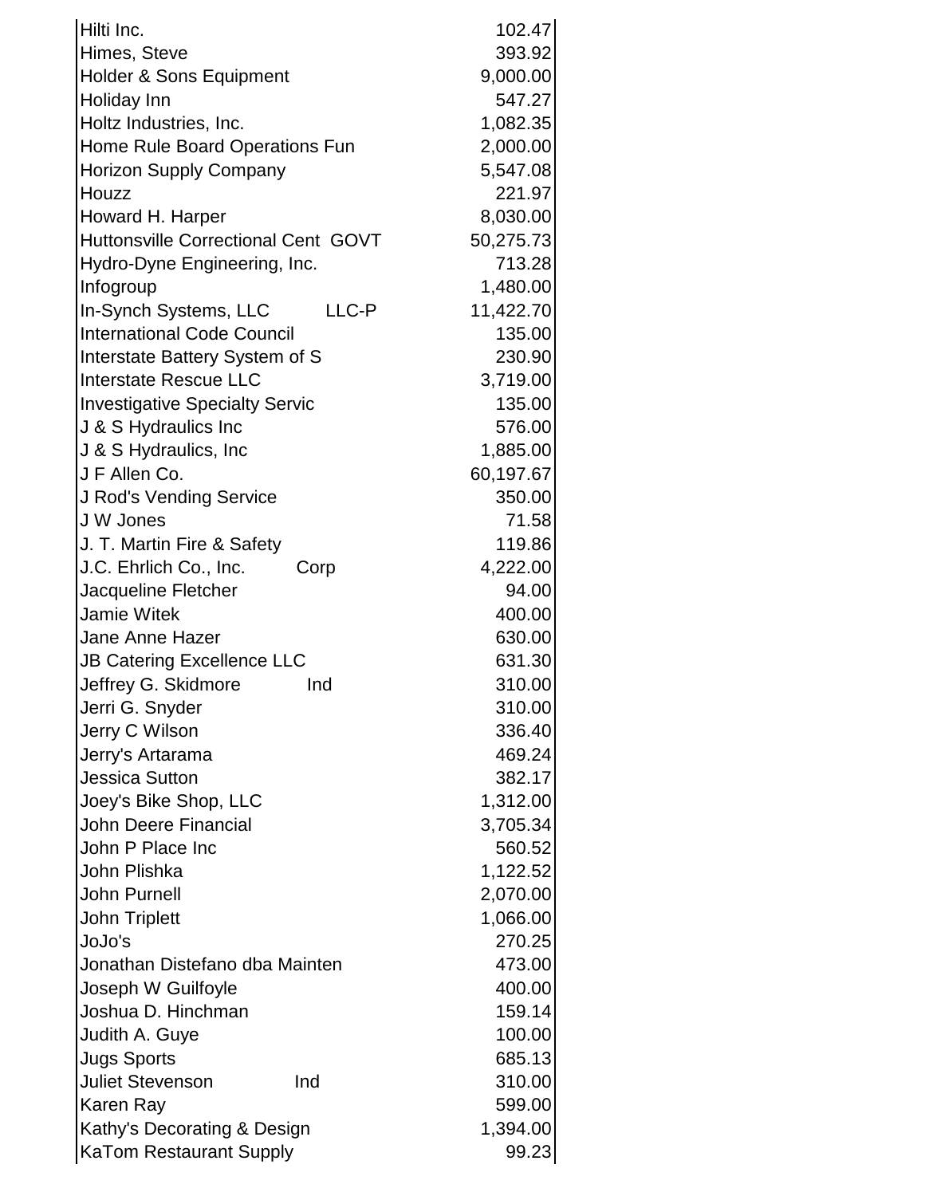| Hilti Inc.                                           | 102.47           |
|------------------------------------------------------|------------------|
| Himes, Steve                                         | 393.92           |
| Holder & Sons Equipment                              | 9,000.00         |
| Holiday Inn                                          | 547.27           |
| Holtz Industries, Inc.                               | 1,082.35         |
| Home Rule Board Operations Fun                       | 2,000.00         |
| <b>Horizon Supply Company</b>                        | 5,547.08         |
| Houzz                                                | 221.97           |
| Howard H. Harper                                     | 8,030.00         |
| <b>Huttonsville Correctional Cent GOVT</b>           | 50,275.73        |
| Hydro-Dyne Engineering, Inc.                         | 713.28           |
| Infogroup                                            | 1,480.00         |
| In-Synch Systems, LLC<br>LLC-P                       | 11,422.70        |
| <b>International Code Council</b>                    | 135.00           |
| Interstate Battery System of S                       | 230.90           |
| <b>Interstate Rescue LLC</b>                         | 3,719.00         |
| <b>Investigative Specialty Servic</b>                | 135.00           |
| J & S Hydraulics Inc                                 | 576.00           |
| J & S Hydraulics, Inc                                | 1,885.00         |
| J F Allen Co.                                        | 60,197.67        |
| <b>J Rod's Vending Service</b>                       | 350.00           |
| J W Jones                                            | 71.58            |
| J. T. Martin Fire & Safety                           | 119.86           |
| J.C. Ehrlich Co., Inc.<br>Corp                       | 4,222.00         |
| Jacqueline Fletcher                                  | 94.00            |
| <b>Jamie Witek</b>                                   | 400.00           |
| Jane Anne Hazer                                      | 630.00           |
| <b>JB Catering Excellence LLC</b>                    | 631.30           |
| Jeffrey G. Skidmore<br>Ind                           | 310.00           |
| Jerri G. Snyder                                      | 310.00           |
| Jerry C Wilson                                       | 336.40           |
| Jerry's Artarama                                     | 469.24           |
| <b>Jessica Sutton</b>                                | 382.17           |
| Joey's Bike Shop, LLC                                | 1,312.00         |
| <b>John Deere Financial</b>                          | 3,705.34         |
| John P Place Inc                                     | 560.52           |
| John Plishka                                         | 1,122.52         |
| <b>John Purnell</b>                                  | 2,070.00         |
| <b>John Triplett</b>                                 | 1,066.00         |
| JoJo's                                               | 270.25           |
| Jonathan Distefano dba Mainten                       | 473.00           |
| Joseph W Guilfoyle                                   | 400.00<br>159.14 |
| Joshua D. Hinchman                                   | 100.00           |
| Judith A. Guye                                       | 685.13           |
| <b>Jugs Sports</b><br><b>Juliet Stevenson</b><br>Ind | 310.00           |
| Karen Ray                                            | 599.00           |
| Kathy's Decorating & Design                          | 1,394.00         |
| <b>KaTom Restaurant Supply</b>                       | 99.23            |
|                                                      |                  |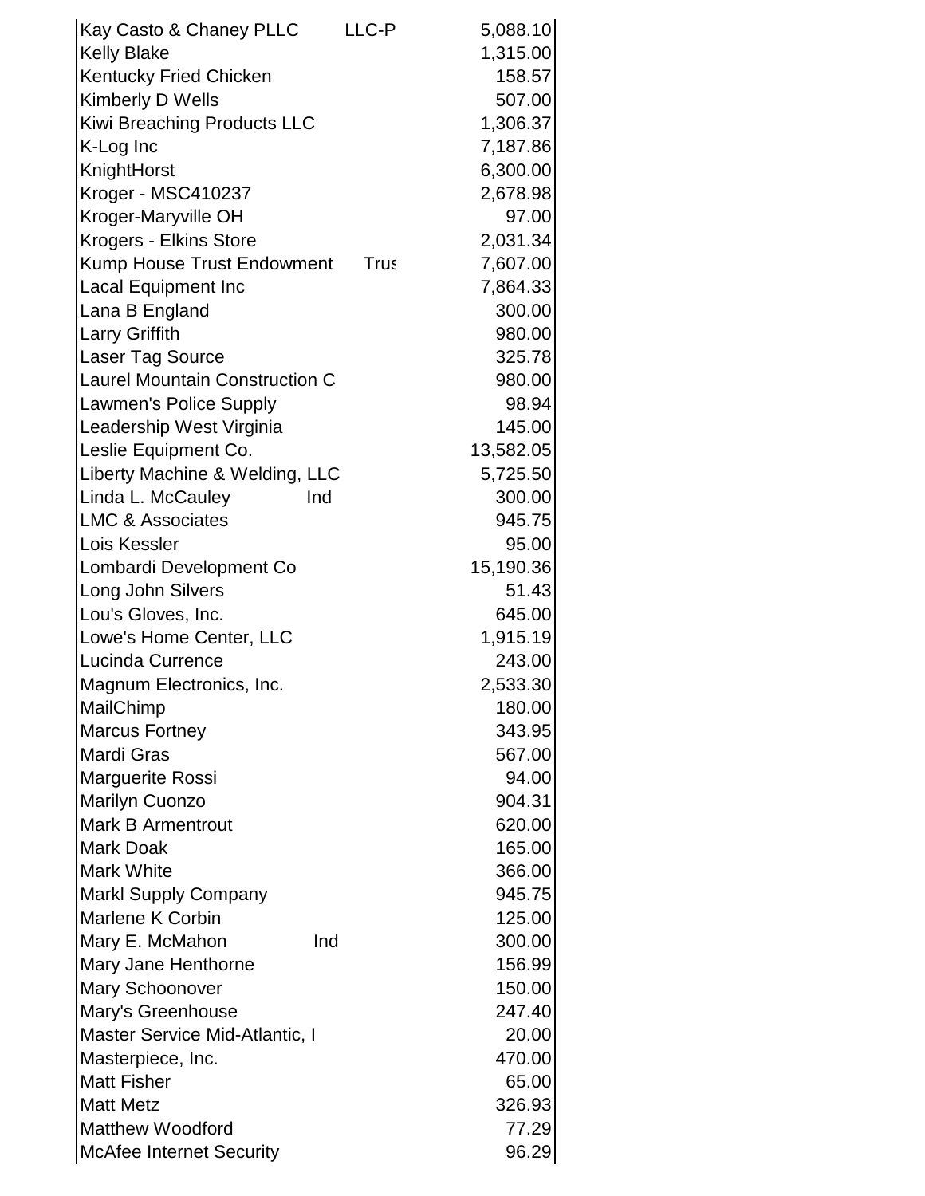| Kay Casto & Chaney PLLC                 | LLC-P       | 5,088.10         |
|-----------------------------------------|-------------|------------------|
| <b>Kelly Blake</b>                      |             | 1,315.00         |
| Kentucky Fried Chicken                  |             | 158.57           |
| Kimberly D Wells                        |             | 507.00           |
| Kiwi Breaching Products LLC             |             | 1,306.37         |
| K-Log Inc                               |             | 7,187.86         |
| KnightHorst                             |             | 6,300.00         |
| Kroger - MSC410237                      |             | 2,678.98         |
| Kroger-Maryville OH                     |             | 97.00            |
| Krogers - Elkins Store                  |             | 2,031.34         |
| <b>Kump House Trust Endowment</b>       | <b>Trus</b> | 7,607.00         |
| <b>Lacal Equipment Inc</b>              |             | 7,864.33         |
| Lana B England                          |             | 300.00           |
| <b>Larry Griffith</b>                   |             | 980.00           |
| Laser Tag Source                        |             | 325.78           |
| <b>Laurel Mountain Construction C</b>   |             | 980.00           |
| Lawmen's Police Supply                  |             | 98.94            |
| Leadership West Virginia                |             | 145.00           |
| Leslie Equipment Co.                    |             | 13,582.05        |
| Liberty Machine & Welding, LLC          |             | 5,725.50         |
| Linda L. McCauley<br>Ind                |             | 300.00           |
| <b>LMC &amp; Associates</b>             |             | 945.75           |
| Lois Kessler                            |             | 95.00            |
| Lombardi Development Co                 |             | 15,190.36        |
| Long John Silvers                       |             | 51.43            |
| Lou's Gloves, Inc.                      |             | 645.00           |
| Lowe's Home Center, LLC                 |             | 1,915.19         |
| Lucinda Currence                        |             | 243.00           |
| Magnum Electronics, Inc.                |             | 2,533.30         |
| MailChimp                               |             | 180.00           |
| <b>Marcus Fortney</b>                   |             | 343.95           |
| <b>Mardi Gras</b>                       |             | 567.00           |
| Marguerite Rossi                        |             | 94.00            |
| <b>Marilyn Cuonzo</b>                   |             | 904.31           |
| <b>Mark B Armentrout</b>                |             | 620.00           |
| <b>Mark Doak</b>                        |             | 165.00           |
| <b>Mark White</b>                       |             | 366.00           |
| <b>Markl Supply Company</b>             |             | 945.75           |
| <b>Marlene K Corbin</b>                 |             | 125.00           |
| Mary E. McMahon<br>Ind                  |             | 300.00           |
| Mary Jane Henthorne                     |             | 156.99           |
| <b>Mary Schoonover</b>                  |             | 150.00<br>247.40 |
| Mary's Greenhouse                       |             | 20.00            |
| Master Service Mid-Atlantic, I          |             | 470.00           |
| Masterpiece, Inc.<br><b>Matt Fisher</b> |             | 65.00            |
| <b>Matt Metz</b>                        |             | 326.93           |
| <b>Matthew Woodford</b>                 |             | 77.29            |
| <b>McAfee Internet Security</b>         |             | 96.29            |
|                                         |             |                  |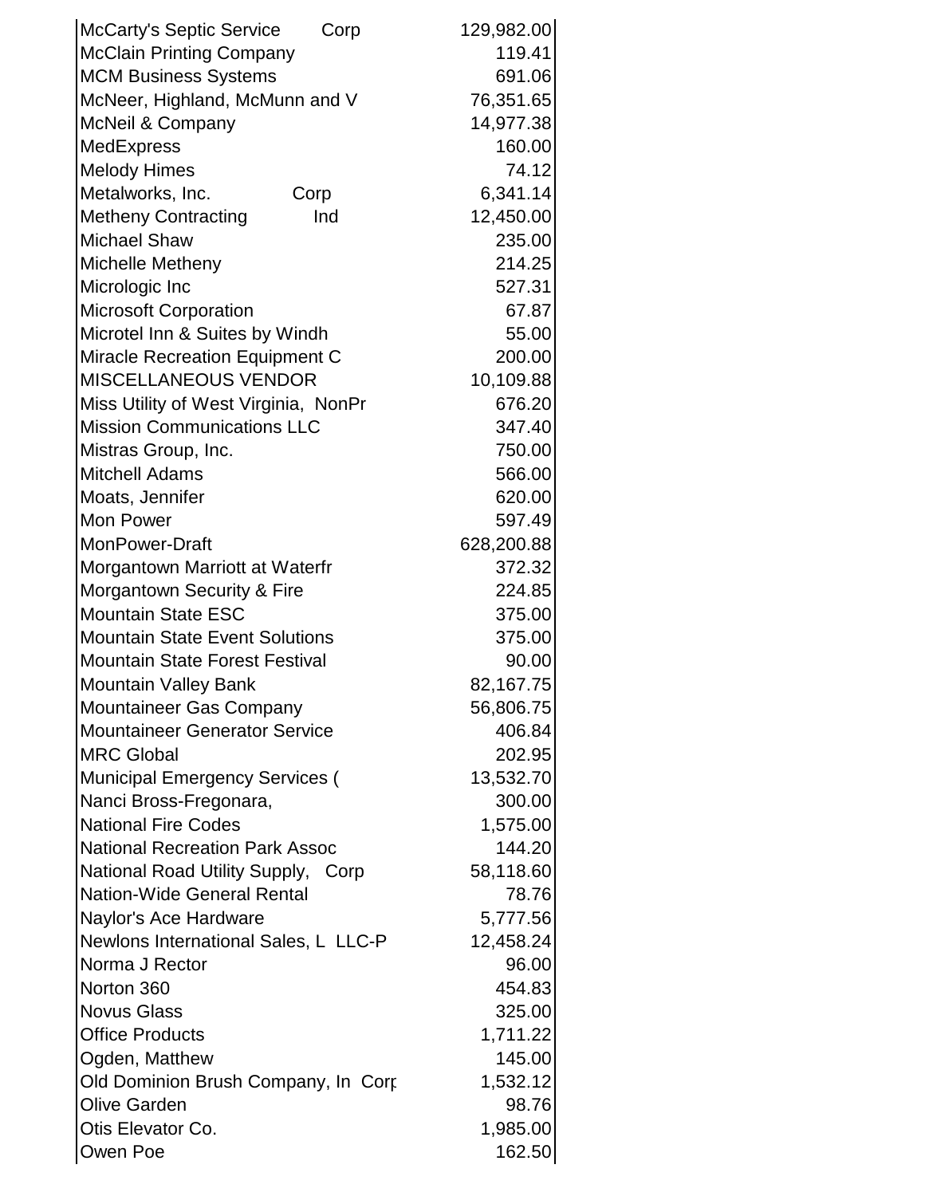| <b>McCarty's Septic Service</b><br>Corp | 129,982.00 |
|-----------------------------------------|------------|
| <b>McClain Printing Company</b>         | 119.41     |
| <b>MCM Business Systems</b>             | 691.06     |
| McNeer, Highland, McMunn and V          | 76,351.65  |
| <b>McNeil &amp; Company</b>             | 14,977.38  |
| <b>MedExpress</b>                       | 160.00     |
| <b>Melody Himes</b>                     | 74.12      |
| Metalworks, Inc.<br>Corp                | 6,341.14   |
| <b>Metheny Contracting</b><br>Ind       | 12,450.00  |
| <b>Michael Shaw</b>                     | 235.00     |
| Michelle Metheny                        | 214.25     |
| Micrologic Inc                          | 527.31     |
| <b>Microsoft Corporation</b>            | 67.87      |
| Microtel Inn & Suites by Windh          | 55.00      |
| <b>Miracle Recreation Equipment C</b>   | 200.00     |
| <b>MISCELLANEOUS VENDOR</b>             | 10,109.88  |
| Miss Utility of West Virginia, NonPr    | 676.20     |
| <b>Mission Communications LLC</b>       | 347.40     |
| Mistras Group, Inc.                     | 750.00     |
| <b>Mitchell Adams</b>                   | 566.00     |
| Moats, Jennifer                         | 620.00     |
| Mon Power                               | 597.49     |
| MonPower-Draft                          | 628,200.88 |
| Morgantown Marriott at Waterfr          | 372.32     |
| Morgantown Security & Fire              | 224.85     |
| <b>Mountain State ESC</b>               | 375.00     |
| <b>Mountain State Event Solutions</b>   | 375.00     |
| <b>Mountain State Forest Festival</b>   | 90.00      |
| <b>Mountain Valley Bank</b>             | 82,167.75  |
| Mountaineer Gas Company                 | 56,806.75  |
| <b>Mountaineer Generator Service</b>    | 406.84     |
| <b>MRC Global</b>                       | 202.95     |
| <b>Municipal Emergency Services (</b>   | 13,532.70  |
| Nanci Bross-Fregonara,                  | 300.00     |
| <b>National Fire Codes</b>              | 1,575.00   |
| <b>National Recreation Park Assoc</b>   | 144.20     |
| National Road Utility Supply, Corp      | 58,118.60  |
| <b>Nation-Wide General Rental</b>       | 78.76      |
| Naylor's Ace Hardware                   | 5,777.56   |
| Newlons International Sales, L LLC-P    | 12,458.24  |
| Norma J Rector                          | 96.00      |
| Norton 360                              | 454.83     |
| <b>Novus Glass</b>                      | 325.00     |
| <b>Office Products</b>                  | 1,711.22   |
| Ogden, Matthew                          | 145.00     |
| Old Dominion Brush Company, In Corp     | 1,532.12   |
| <b>Olive Garden</b>                     | 98.76      |
| Otis Elevator Co.                       | 1,985.00   |
| Owen Poe                                | 162.50     |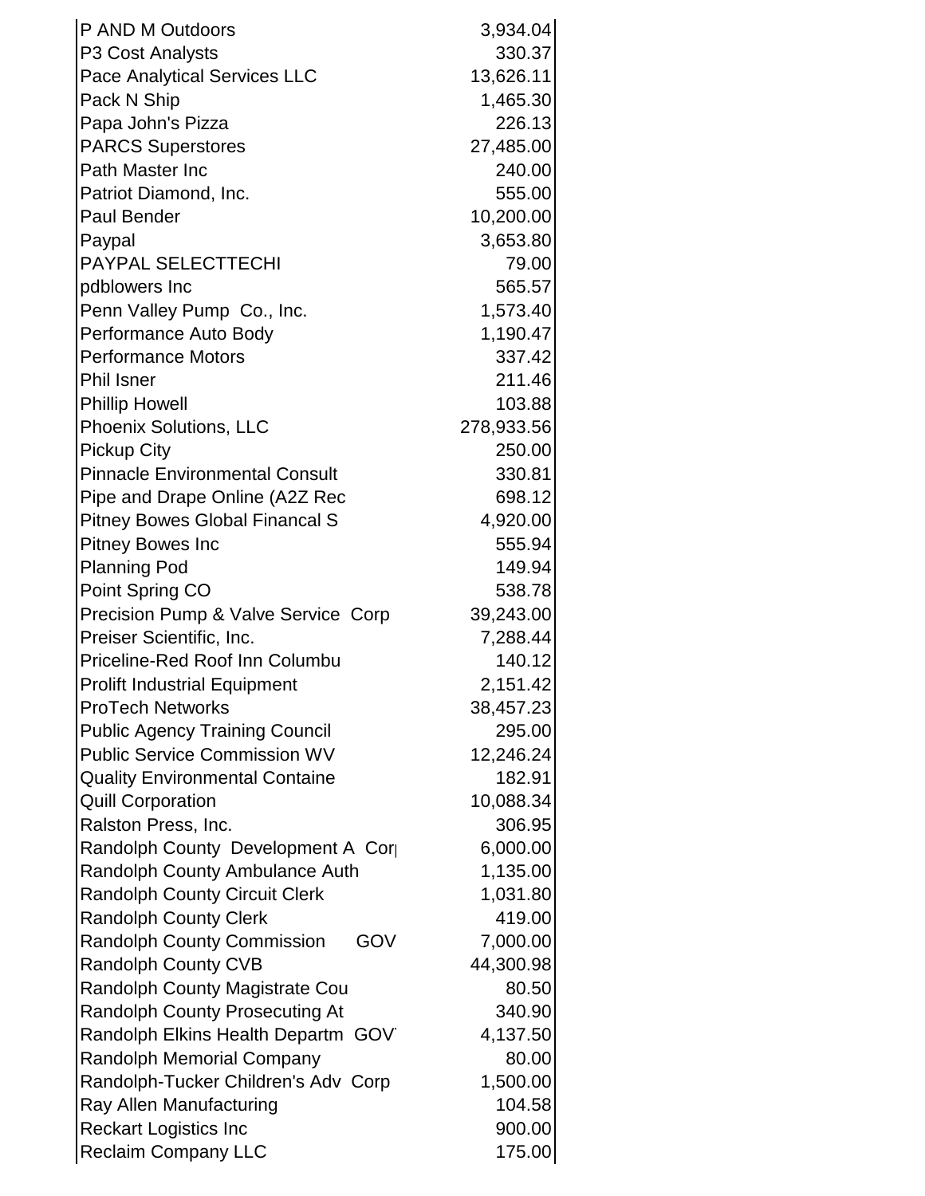| P AND M Outdoors                         | 3,934.04   |
|------------------------------------------|------------|
| P3 Cost Analysts                         | 330.37     |
| Pace Analytical Services LLC             | 13,626.11  |
| Pack N Ship                              | 1,465.30   |
| Papa John's Pizza                        | 226.13     |
| <b>PARCS Superstores</b>                 | 27,485.00  |
| Path Master Inc                          | 240.00     |
| Patriot Diamond, Inc.                    | 555.00     |
| <b>Paul Bender</b>                       | 10,200.00  |
| Paypal                                   | 3,653.80   |
| PAYPAL SELECTTECHI                       | 79.00      |
| pdblowers Inc                            | 565.57     |
| Penn Valley Pump Co., Inc.               | 1,573.40   |
| Performance Auto Body                    | 1,190.47   |
| <b>Performance Motors</b>                | 337.42     |
| <b>Phil Isner</b>                        | 211.46     |
| <b>Phillip Howell</b>                    | 103.88     |
| Phoenix Solutions, LLC                   | 278,933.56 |
| <b>Pickup City</b>                       | 250.00     |
| <b>Pinnacle Environmental Consult</b>    | 330.81     |
| Pipe and Drape Online (A2Z Rec           | 698.12     |
| <b>Pitney Bowes Global Financal S</b>    | 4,920.00   |
| <b>Pitney Bowes Inc</b>                  | 555.94     |
| <b>Planning Pod</b>                      | 149.94     |
| Point Spring CO                          | 538.78     |
| Precision Pump & Valve Service Corp      | 39,243.00  |
| Preiser Scientific, Inc.                 | 7,288.44   |
| Priceline-Red Roof Inn Columbu           | 140.12     |
| <b>Prolift Industrial Equipment</b>      | 2,151.42   |
| <b>ProTech Networks</b>                  | 38,457.23  |
| <b>Public Agency Training Council</b>    | 295.00     |
| <b>Public Service Commission WV</b>      | 12,246.24  |
| <b>Quality Environmental Containe</b>    | 182.91     |
| <b>Quill Corporation</b>                 | 10,088.34  |
| Ralston Press, Inc.                      | 306.95     |
| Randolph County Development A Corp       | 6,000.00   |
| Randolph County Ambulance Auth           | 1,135.00   |
| <b>Randolph County Circuit Clerk</b>     | 1,031.80   |
| <b>Randolph County Clerk</b>             | 419.00     |
| <b>Randolph County Commission</b><br>GOV | 7,000.00   |
| <b>Randolph County CVB</b>               | 44,300.98  |
| <b>Randolph County Magistrate Cou</b>    | 80.50      |
| <b>Randolph County Prosecuting At</b>    | 340.90     |
| Randolph Elkins Health Departm GOV       | 4,137.50   |
| <b>Randolph Memorial Company</b>         | 80.00      |
| Randolph-Tucker Children's Adv Corp      | 1,500.00   |
| Ray Allen Manufacturing                  | 104.58     |
| <b>Reckart Logistics Inc</b>             | 900.00     |
| <b>Reclaim Company LLC</b>               | 175.00     |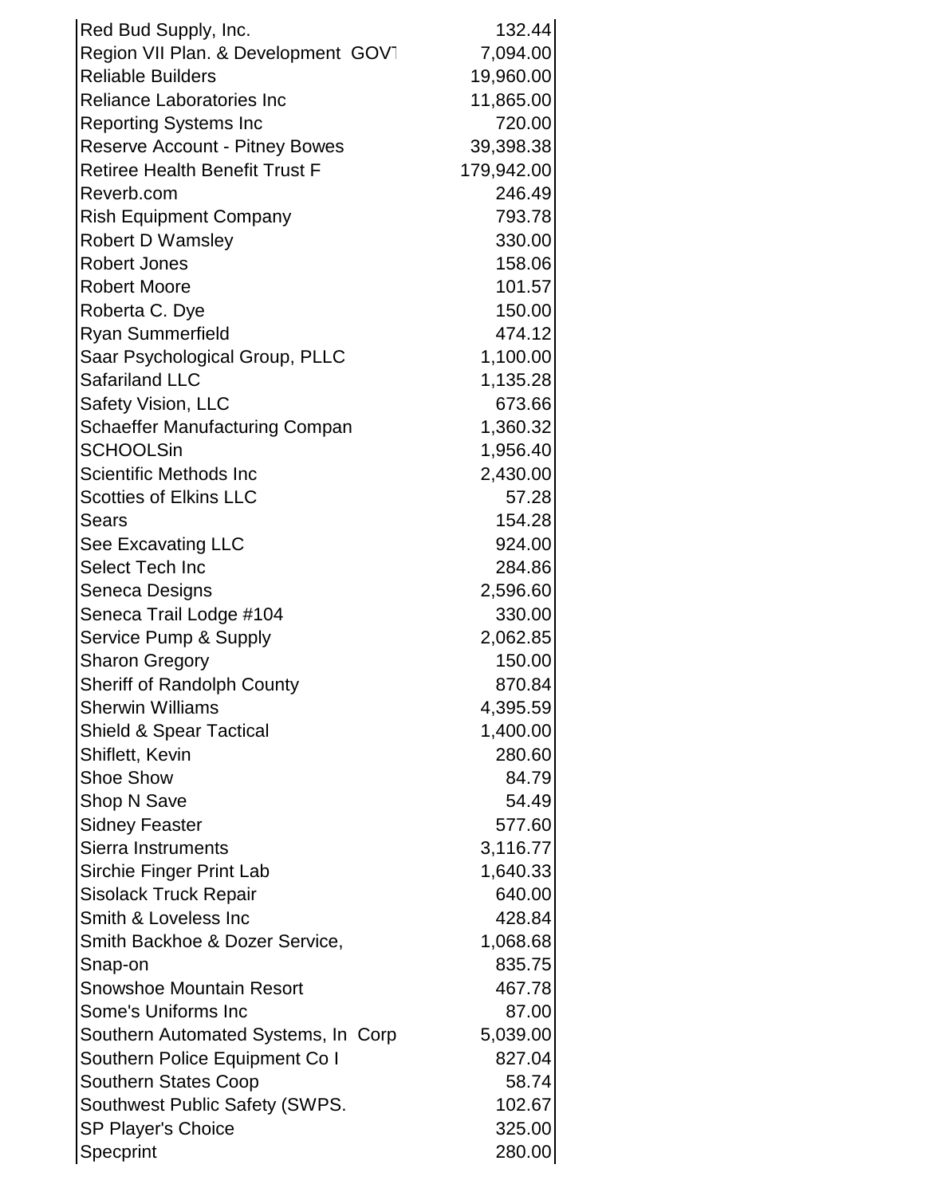| Red Bud Supply, Inc.                  | 132.44     |
|---------------------------------------|------------|
| Region VII Plan. & Development GOV1   | 7,094.00   |
| <b>Reliable Builders</b>              | 19,960.00  |
| <b>Reliance Laboratories Inc</b>      | 11,865.00  |
| <b>Reporting Systems Inc</b>          | 720.00     |
| <b>Reserve Account - Pitney Bowes</b> | 39,398.38  |
| <b>Retiree Health Benefit Trust F</b> | 179,942.00 |
| Reverb.com                            | 246.49     |
| <b>Rish Equipment Company</b>         | 793.78     |
| <b>Robert D Wamsley</b>               | 330.00     |
| <b>Robert Jones</b>                   | 158.06     |
| <b>Robert Moore</b>                   | 101.57     |
| Roberta C. Dye                        | 150.00     |
| <b>Ryan Summerfield</b>               | 474.12     |
| Saar Psychological Group, PLLC        | 1,100.00   |
| <b>Safariland LLC</b>                 | 1,135.28   |
| <b>Safety Vision, LLC</b>             | 673.66     |
| <b>Schaeffer Manufacturing Compan</b> | 1,360.32   |
| <b>SCHOOLSin</b>                      | 1,956.40   |
| Scientific Methods Inc                | 2,430.00   |
| <b>Scotties of Elkins LLC</b>         | 57.28      |
| <b>Sears</b>                          | 154.28     |
| See Excavating LLC                    | 924.00     |
| Select Tech Inc                       | 284.86     |
| Seneca Designs                        | 2,596.60   |
| Seneca Trail Lodge #104               | 330.00     |
| Service Pump & Supply                 | 2,062.85   |
| <b>Sharon Gregory</b>                 | 150.00     |
| Sheriff of Randolph County            | 870.84     |
| <b>Sherwin Williams</b>               | 4,395.59   |
| <b>Shield &amp; Spear Tactical</b>    | 1,400.00   |
| Shiflett, Kevin                       | 280.60     |
| <b>Shoe Show</b>                      | 84.79      |
| Shop N Save                           | 54.49      |
| <b>Sidney Feaster</b>                 | 577.60     |
| Sierra Instruments                    | 3,116.77   |
| Sirchie Finger Print Lab              | 1,640.33   |
| <b>Sisolack Truck Repair</b>          | 640.00     |
| Smith & Loveless Inc                  | 428.84     |
| Smith Backhoe & Dozer Service,        | 1,068.68   |
| Snap-on                               | 835.75     |
| <b>Snowshoe Mountain Resort</b>       | 467.78     |
| Some's Uniforms Inc                   | 87.00      |
| Southern Automated Systems, In Corp   | 5,039.00   |
| Southern Police Equipment Co I        | 827.04     |
| <b>Southern States Coop</b>           | 58.74      |
| Southwest Public Safety (SWPS.        | 102.67     |
| <b>SP Player's Choice</b>             | 325.00     |
| Specprint                             | 280.00     |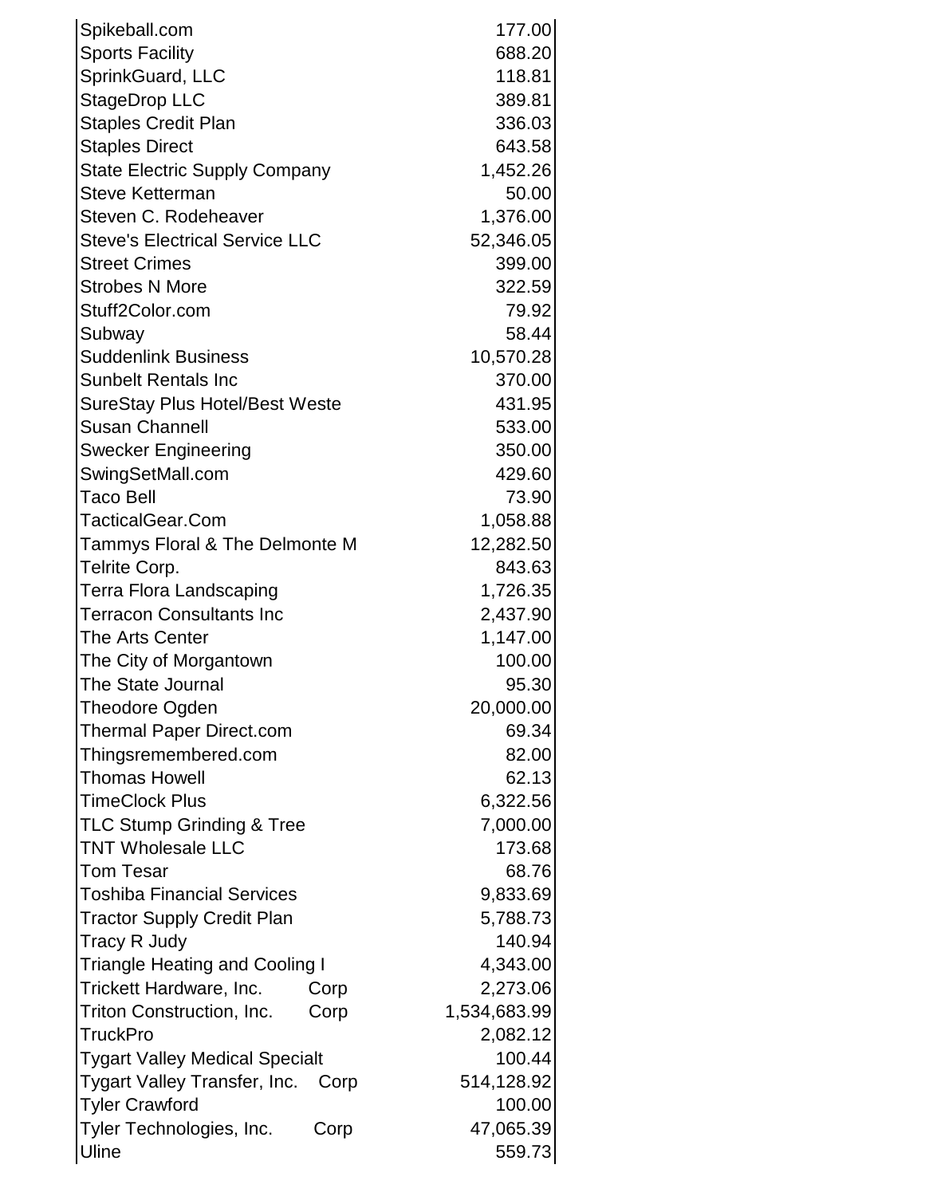| Spikeball.com                         | 177.00       |
|---------------------------------------|--------------|
| <b>Sports Facility</b>                | 688.20       |
| SprinkGuard, LLC                      | 118.81       |
| StageDrop LLC                         | 389.81       |
| <b>Staples Credit Plan</b>            | 336.03       |
| <b>Staples Direct</b>                 | 643.58       |
| <b>State Electric Supply Company</b>  | 1,452.26     |
| <b>Steve Ketterman</b>                | 50.00        |
| Steven C. Rodeheaver                  | 1,376.00     |
| <b>Steve's Electrical Service LLC</b> | 52,346.05    |
| <b>Street Crimes</b>                  | 399.00       |
| <b>Strobes N More</b>                 | 322.59       |
| Stuff2Color.com                       | 79.92        |
| Subway                                | 58.44        |
| <b>Suddenlink Business</b>            | 10,570.28    |
| <b>Sunbelt Rentals Inc</b>            | 370.00       |
| <b>SureStay Plus Hotel/Best Weste</b> | 431.95       |
| <b>Susan Channell</b>                 | 533.00       |
| <b>Swecker Engineering</b>            | 350.00       |
| SwingSetMall.com                      | 429.60       |
| <b>Taco Bell</b>                      | 73.90        |
| <b>TacticalGear.Com</b>               | 1,058.88     |
| Tammys Floral & The Delmonte M        | 12,282.50    |
| Telrite Corp.                         | 843.63       |
| <b>Terra Flora Landscaping</b>        | 1,726.35     |
| <b>Terracon Consultants Inc</b>       | 2,437.90     |
| The Arts Center                       | 1,147.00     |
| The City of Morgantown                | 100.00       |
| <b>The State Journal</b>              | 95.30        |
| Theodore Ogden                        | 20,000.00    |
| <b>Thermal Paper Direct.com</b>       | 69.34        |
| Thingsremembered.com                  | 82.00        |
| <b>Thomas Howell</b>                  | 62.13        |
| <b>TimeClock Plus</b>                 | 6,322.56     |
| <b>TLC Stump Grinding &amp; Tree</b>  | 7,000.00     |
| <b>TNT Wholesale LLC</b>              | 173.68       |
| <b>Tom Tesar</b>                      | 68.76        |
| <b>Toshiba Financial Services</b>     | 9,833.69     |
| <b>Tractor Supply Credit Plan</b>     | 5,788.73     |
| Tracy R Judy                          | 140.94       |
| <b>Triangle Heating and Cooling I</b> | 4,343.00     |
| Trickett Hardware, Inc.<br>Corp       | 2,273.06     |
| Triton Construction, Inc.<br>Corp     | 1,534,683.99 |
| <b>TruckPro</b>                       | 2,082.12     |
| <b>Tygart Valley Medical Specialt</b> | 100.44       |
| Tygart Valley Transfer, Inc. Corp     | 514,128.92   |
| <b>Tyler Crawford</b>                 | 100.00       |
| Tyler Technologies, Inc.<br>Corp      | 47,065.39    |
| Uline                                 | 559.73       |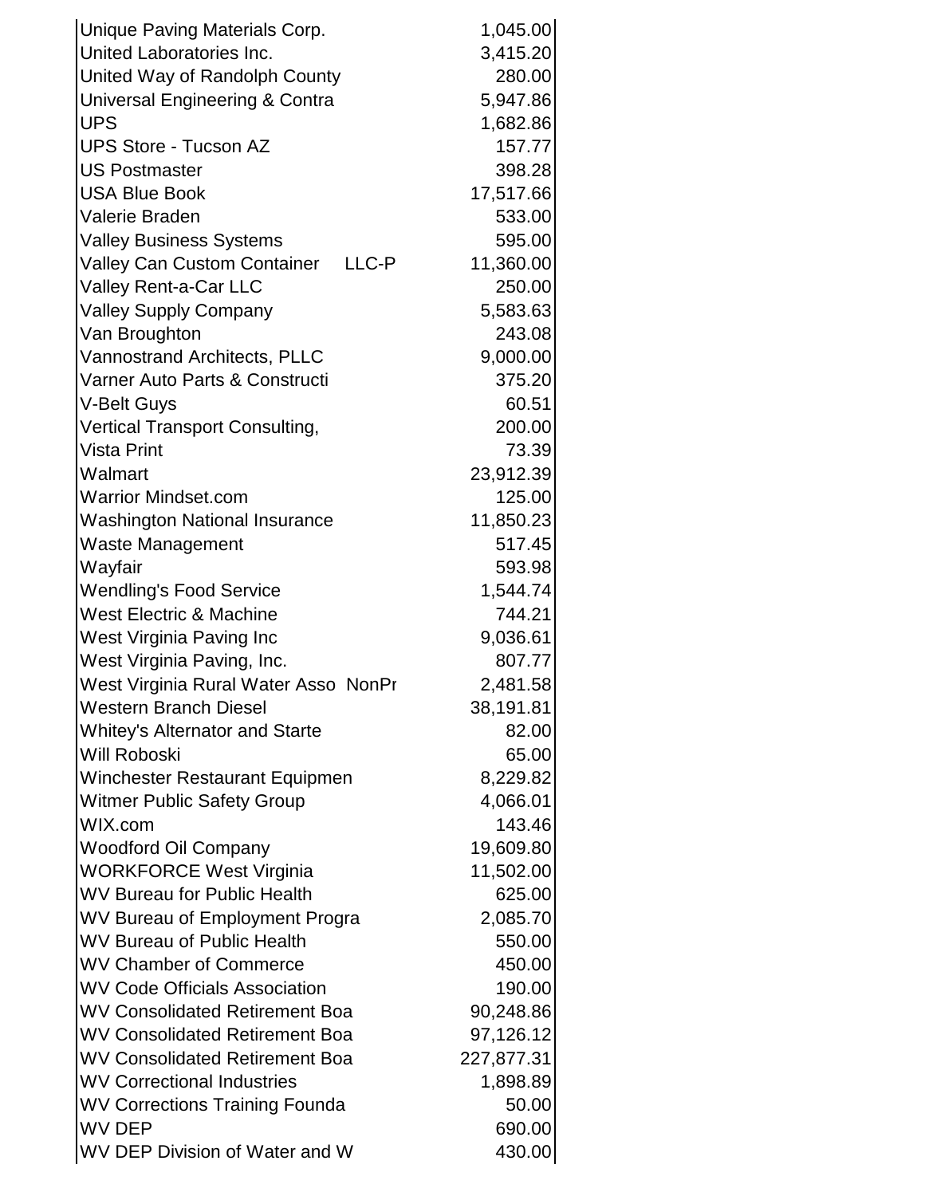| Unique Paving Materials Corp.                                              | 1,045.00          |
|----------------------------------------------------------------------------|-------------------|
| United Laboratories Inc.                                                   | 3,415.20          |
| United Way of Randolph County                                              | 280.00            |
| Universal Engineering & Contra                                             | 5,947.86          |
| <b>UPS</b>                                                                 | 1,682.86          |
| <b>UPS Store - Tucson AZ</b>                                               | 157.77            |
| <b>US Postmaster</b>                                                       | 398.28            |
| <b>USA Blue Book</b>                                                       | 17,517.66         |
| Valerie Braden                                                             | 533.00            |
| <b>Valley Business Systems</b>                                             | 595.00            |
| Valley Can Custom Container LLC-P                                          | 11,360.00         |
| Valley Rent-a-Car LLC                                                      | 250.00            |
| <b>Valley Supply Company</b>                                               | 5,583.63          |
| Van Broughton                                                              | 243.08            |
| Vannostrand Architects, PLLC                                               | 9,000.00          |
| Varner Auto Parts & Constructi                                             | 375.20            |
| V-Belt Guys                                                                | 60.51             |
| Vertical Transport Consulting,                                             | 200.00            |
| <b>Vista Print</b>                                                         | 73.39             |
| Walmart                                                                    | 23,912.39         |
| <b>Warrior Mindset.com</b>                                                 | 125.00            |
| <b>Washington National Insurance</b>                                       | 11,850.23         |
| <b>Waste Management</b>                                                    | 517.45            |
| Wayfair                                                                    | 593.98            |
| <b>Wendling's Food Service</b>                                             | 1,544.74          |
| <b>West Electric &amp; Machine</b>                                         | 744.21            |
| West Virginia Paving Inc                                                   | 9,036.61          |
| West Virginia Paving, Inc.                                                 | 807.77            |
| West Virginia Rural Water Asso NonPr                                       | 2,481.58          |
| <b>Western Branch Diesel</b>                                               | 38,191.81         |
| <b>Whitey's Alternator and Starte</b>                                      | 82.00             |
| <b>Will Roboski</b>                                                        | 65.00             |
| Winchester Restaurant Equipmen                                             | 8,229.82          |
| <b>Witmer Public Safety Group</b>                                          | 4,066.01          |
| WIX.com                                                                    | 143.46            |
| <b>Woodford Oil Company</b>                                                | 19,609.80         |
| <b>WORKFORCE West Virginia</b>                                             | 11,502.00         |
| <b>WV Bureau for Public Health</b>                                         | 625.00            |
| WV Bureau of Employment Progra                                             | 2,085.70          |
| <b>WV Bureau of Public Health</b>                                          | 550.00            |
| <b>WV Chamber of Commerce</b>                                              | 450.00            |
| <b>WV Code Officials Association</b>                                       | 190.00            |
| <b>WV Consolidated Retirement Boa</b>                                      | 90,248.86         |
| <b>WV Consolidated Retirement Boa</b>                                      | 97,126.12         |
| <b>WV Consolidated Retirement Boa</b><br><b>WV Correctional Industries</b> | 227,877.31        |
|                                                                            | 1,898.89<br>50.00 |
| <b>WV Corrections Training Founda</b><br><b>WV DEP</b>                     | 690.00            |
|                                                                            |                   |
| WV DEP Division of Water and W                                             | 430.00            |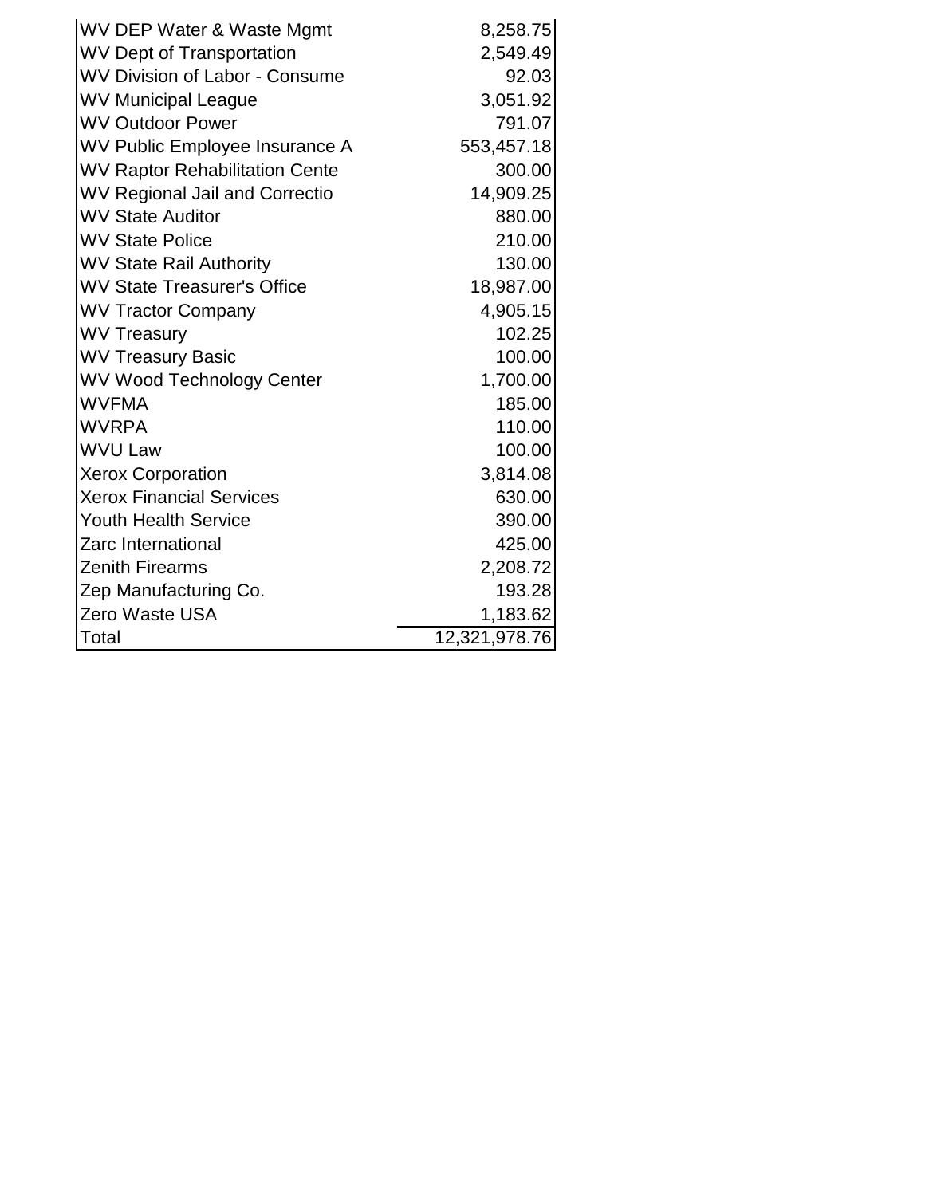| WV DEP Water & Waste Mgmt             | 8,258.75      |
|---------------------------------------|---------------|
| <b>WV Dept of Transportation</b>      | 2,549.49      |
| <b>WV Division of Labor - Consume</b> | 92.03         |
| <b>WV Municipal League</b>            | 3,051.92      |
| <b>WV Outdoor Power</b>               | 791.07        |
| WV Public Employee Insurance A        | 553,457.18    |
| <b>WV Raptor Rehabilitation Cente</b> | 300.00        |
| <b>WV Regional Jail and Correctio</b> | 14,909.25     |
| <b>WV State Auditor</b>               | 880.00        |
| <b>WV State Police</b>                | 210.00        |
| <b>WV State Rail Authority</b>        | 130.00        |
| <b>WV State Treasurer's Office</b>    | 18,987.00     |
| <b>WV Tractor Company</b>             | 4,905.15      |
| <b>WV Treasury</b>                    | 102.25        |
| <b>WV Treasury Basic</b>              | 100.00        |
| <b>WV Wood Technology Center</b>      | 1,700.00      |
| <b>WVFMA</b>                          | 185.00        |
| <b>WVRPA</b>                          | 110.00        |
| <b>WVU Law</b>                        | 100.00        |
| <b>Xerox Corporation</b>              | 3,814.08      |
| <b>Xerox Financial Services</b>       | 630.00        |
| <b>Youth Health Service</b>           | 390.00        |
| Zarc International                    | 425.00        |
| <b>Zenith Firearms</b>                | 2,208.72      |
| Zep Manufacturing Co.                 | 193.28        |
| <b>Zero Waste USA</b>                 | 1,183.62      |
| Total                                 | 12,321,978.76 |